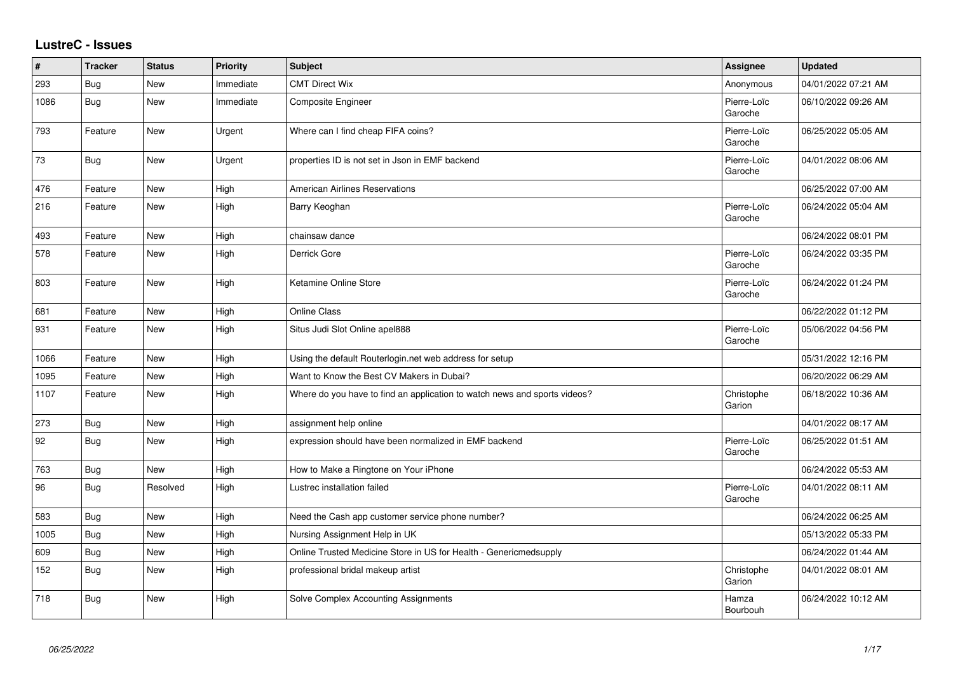## **LustreC - Issues**

| $\vert$ # | <b>Tracker</b> | <b>Status</b> | <b>Priority</b> | <b>Subject</b>                                                            | Assignee               | <b>Updated</b>      |
|-----------|----------------|---------------|-----------------|---------------------------------------------------------------------------|------------------------|---------------------|
| 293       | Bug            | New           | Immediate       | <b>CMT Direct Wix</b>                                                     | Anonymous              | 04/01/2022 07:21 AM |
| 1086      | Bug            | <b>New</b>    | Immediate       | Composite Engineer                                                        | Pierre-Loïc<br>Garoche | 06/10/2022 09:26 AM |
| 793       | Feature        | <b>New</b>    | Urgent          | Where can I find cheap FIFA coins?                                        | Pierre-Loïc<br>Garoche | 06/25/2022 05:05 AM |
| 73        | <b>Bug</b>     | <b>New</b>    | Urgent          | properties ID is not set in Json in EMF backend                           | Pierre-Loïc<br>Garoche | 04/01/2022 08:06 AM |
| 476       | Feature        | <b>New</b>    | High            | <b>American Airlines Reservations</b>                                     |                        | 06/25/2022 07:00 AM |
| 216       | Feature        | <b>New</b>    | High            | Barry Keoghan                                                             | Pierre-Loïc<br>Garoche | 06/24/2022 05:04 AM |
| 493       | Feature        | <b>New</b>    | High            | chainsaw dance                                                            |                        | 06/24/2022 08:01 PM |
| 578       | Feature        | New           | High            | Derrick Gore                                                              | Pierre-Loïc<br>Garoche | 06/24/2022 03:35 PM |
| 803       | Feature        | <b>New</b>    | High            | Ketamine Online Store                                                     | Pierre-Loïc<br>Garoche | 06/24/2022 01:24 PM |
| 681       | Feature        | <b>New</b>    | High            | <b>Online Class</b>                                                       |                        | 06/22/2022 01:12 PM |
| 931       | Feature        | New           | High            | Situs Judi Slot Online apel888                                            | Pierre-Loïc<br>Garoche | 05/06/2022 04:56 PM |
| 1066      | Feature        | New           | High            | Using the default Routerlogin.net web address for setup                   |                        | 05/31/2022 12:16 PM |
| 1095      | Feature        | <b>New</b>    | High            | Want to Know the Best CV Makers in Dubai?                                 |                        | 06/20/2022 06:29 AM |
| 1107      | Feature        | <b>New</b>    | High            | Where do you have to find an application to watch news and sports videos? | Christophe<br>Garion   | 06/18/2022 10:36 AM |
| 273       | Bug            | <b>New</b>    | High            | assignment help online                                                    |                        | 04/01/2022 08:17 AM |
| 92        | Bug            | New           | High            | expression should have been normalized in EMF backend                     | Pierre-Loïc<br>Garoche | 06/25/2022 01:51 AM |
| 763       | Bug            | <b>New</b>    | High            | How to Make a Ringtone on Your iPhone                                     |                        | 06/24/2022 05:53 AM |
| 96        | Bug            | Resolved      | High            | Lustrec installation failed                                               | Pierre-Loïc<br>Garoche | 04/01/2022 08:11 AM |
| 583       | <b>Bug</b>     | New           | High            | Need the Cash app customer service phone number?                          |                        | 06/24/2022 06:25 AM |
| 1005      | <b>Bug</b>     | <b>New</b>    | High            | Nursing Assignment Help in UK                                             |                        | 05/13/2022 05:33 PM |
| 609       | Bug            | New           | High            | Online Trusted Medicine Store in US for Health - Genericmedsupply         |                        | 06/24/2022 01:44 AM |
| 152       | <b>Bug</b>     | New           | High            | professional bridal makeup artist                                         | Christophe<br>Garion   | 04/01/2022 08:01 AM |
| 718       | Bug            | New           | High            | Solve Complex Accounting Assignments                                      | Hamza<br>Bourbouh      | 06/24/2022 10:12 AM |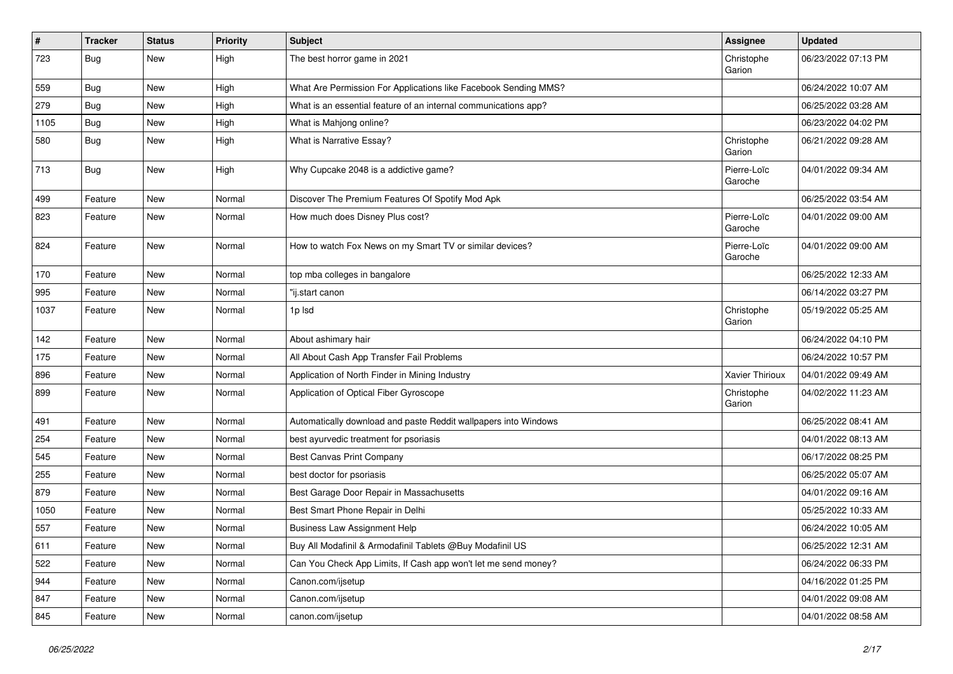| $\vert$ # | <b>Tracker</b> | <b>Status</b> | <b>Priority</b> | Subject                                                         | Assignee               | <b>Updated</b>      |
|-----------|----------------|---------------|-----------------|-----------------------------------------------------------------|------------------------|---------------------|
| 723       | <b>Bug</b>     | New           | High            | The best horror game in 2021                                    | Christophe<br>Garion   | 06/23/2022 07:13 PM |
| 559       | <b>Bug</b>     | New           | High            | What Are Permission For Applications like Facebook Sending MMS? |                        | 06/24/2022 10:07 AM |
| 279       | Bug            | New           | High            | What is an essential feature of an internal communications app? |                        | 06/25/2022 03:28 AM |
| 1105      | Bug            | New           | High            | What is Mahjong online?                                         |                        | 06/23/2022 04:02 PM |
| 580       | Bug            | New           | High            | What is Narrative Essay?                                        | Christophe<br>Garion   | 06/21/2022 09:28 AM |
| 713       | Bug            | New           | High            | Why Cupcake 2048 is a addictive game?                           | Pierre-Loïc<br>Garoche | 04/01/2022 09:34 AM |
| 499       | Feature        | <b>New</b>    | Normal          | Discover The Premium Features Of Spotify Mod Apk                |                        | 06/25/2022 03:54 AM |
| 823       | Feature        | New           | Normal          | How much does Disney Plus cost?                                 | Pierre-Loïc<br>Garoche | 04/01/2022 09:00 AM |
| 824       | Feature        | New           | Normal          | How to watch Fox News on my Smart TV or similar devices?        | Pierre-Loïc<br>Garoche | 04/01/2022 09:00 AM |
| 170       | Feature        | New           | Normal          | top mba colleges in bangalore                                   |                        | 06/25/2022 12:33 AM |
| 995       | Feature        | New           | Normal          | "ij.start canon                                                 |                        | 06/14/2022 03:27 PM |
| 1037      | Feature        | New           | Normal          | 1p lsd                                                          | Christophe<br>Garion   | 05/19/2022 05:25 AM |
| 142       | Feature        | New           | Normal          | About ashimary hair                                             |                        | 06/24/2022 04:10 PM |
| 175       | Feature        | New           | Normal          | All About Cash App Transfer Fail Problems                       |                        | 06/24/2022 10:57 PM |
| 896       | Feature        | New           | Normal          | Application of North Finder in Mining Industry                  | Xavier Thirioux        | 04/01/2022 09:49 AM |
| 899       | Feature        | New           | Normal          | Application of Optical Fiber Gyroscope                          | Christophe<br>Garion   | 04/02/2022 11:23 AM |
| 491       | Feature        | New           | Normal          | Automatically download and paste Reddit wallpapers into Windows |                        | 06/25/2022 08:41 AM |
| 254       | Feature        | New           | Normal          | best ayurvedic treatment for psoriasis                          |                        | 04/01/2022 08:13 AM |
| 545       | Feature        | New           | Normal          | Best Canvas Print Company                                       |                        | 06/17/2022 08:25 PM |
| 255       | Feature        | New           | Normal          | best doctor for psoriasis                                       |                        | 06/25/2022 05:07 AM |
| 879       | Feature        | New           | Normal          | Best Garage Door Repair in Massachusetts                        |                        | 04/01/2022 09:16 AM |
| 1050      | Feature        | New           | Normal          | Best Smart Phone Repair in Delhi                                |                        | 05/25/2022 10:33 AM |
| 557       | Feature        | New           | Normal          | <b>Business Law Assignment Help</b>                             |                        | 06/24/2022 10:05 AM |
| 611       | Feature        | New           | Normal          | Buy All Modafinil & Armodafinil Tablets @Buy Modafinil US       |                        | 06/25/2022 12:31 AM |
| 522       | Feature        | New           | Normal          | Can You Check App Limits, If Cash app won't let me send money?  |                        | 06/24/2022 06:33 PM |
| 944       | Feature        | New           | Normal          | Canon.com/ijsetup                                               |                        | 04/16/2022 01:25 PM |
| 847       | Feature        | New           | Normal          | Canon.com/ijsetup                                               |                        | 04/01/2022 09:08 AM |
| 845       | Feature        | New           | Normal          | canon.com/ijsetup                                               |                        | 04/01/2022 08:58 AM |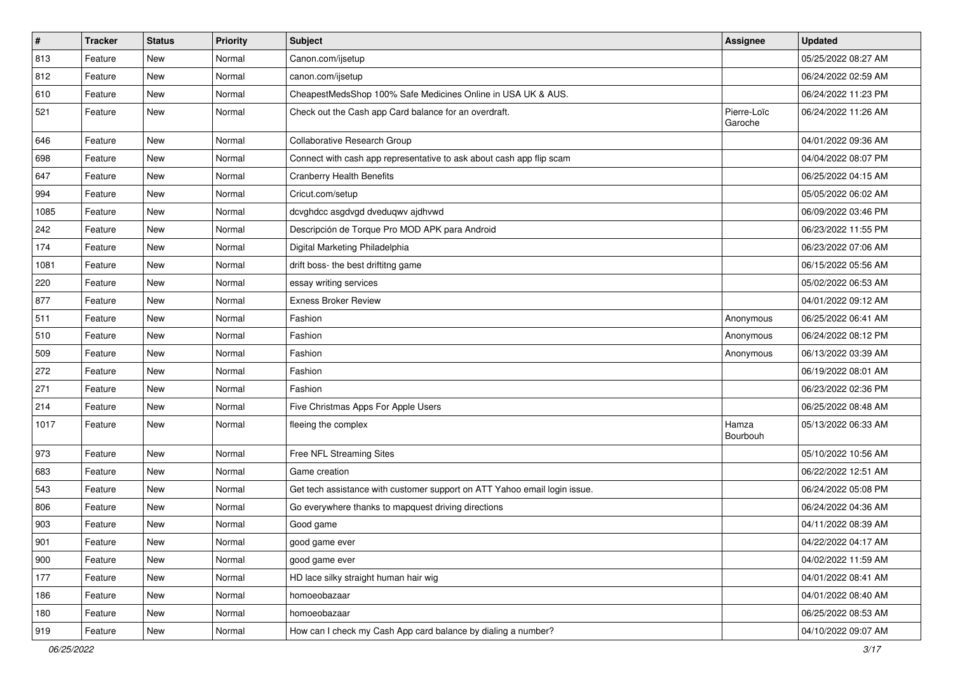| $\sharp$ | <b>Tracker</b> | <b>Status</b> | <b>Priority</b> | Subject                                                                   | <b>Assignee</b>        | <b>Updated</b>      |
|----------|----------------|---------------|-----------------|---------------------------------------------------------------------------|------------------------|---------------------|
| 813      | Feature        | New           | Normal          | Canon.com/ijsetup                                                         |                        | 05/25/2022 08:27 AM |
| 812      | Feature        | New           | Normal          | canon.com/ijsetup                                                         |                        | 06/24/2022 02:59 AM |
| 610      | Feature        | New           | Normal          | CheapestMedsShop 100% Safe Medicines Online in USA UK & AUS.              |                        | 06/24/2022 11:23 PM |
| 521      | Feature        | New           | Normal          | Check out the Cash app Card balance for an overdraft.                     | Pierre-Loïc<br>Garoche | 06/24/2022 11:26 AM |
| 646      | Feature        | New           | Normal          | Collaborative Research Group                                              |                        | 04/01/2022 09:36 AM |
| 698      | Feature        | New           | Normal          | Connect with cash app representative to ask about cash app flip scam      |                        | 04/04/2022 08:07 PM |
| 647      | Feature        | New           | Normal          | <b>Cranberry Health Benefits</b>                                          |                        | 06/25/2022 04:15 AM |
| 994      | Feature        | New           | Normal          | Cricut.com/setup                                                          |                        | 05/05/2022 06:02 AM |
| 1085     | Feature        | New           | Normal          | dcvghdcc asgdvgd dveduqwv ajdhvwd                                         |                        | 06/09/2022 03:46 PM |
| 242      | Feature        | New           | Normal          | Descripción de Torque Pro MOD APK para Android                            |                        | 06/23/2022 11:55 PM |
| 174      | Feature        | New           | Normal          | Digital Marketing Philadelphia                                            |                        | 06/23/2022 07:06 AM |
| 1081     | Feature        | New           | Normal          | drift boss- the best driftitng game                                       |                        | 06/15/2022 05:56 AM |
| 220      | Feature        | New           | Normal          | essay writing services                                                    |                        | 05/02/2022 06:53 AM |
| 877      | Feature        | New           | Normal          | <b>Exness Broker Review</b>                                               |                        | 04/01/2022 09:12 AM |
| 511      | Feature        | New           | Normal          | Fashion                                                                   | Anonymous              | 06/25/2022 06:41 AM |
| 510      | Feature        | New           | Normal          | Fashion                                                                   | Anonymous              | 06/24/2022 08:12 PM |
| 509      | Feature        | New           | Normal          | Fashion                                                                   | Anonymous              | 06/13/2022 03:39 AM |
| 272      | Feature        | New           | Normal          | Fashion                                                                   |                        | 06/19/2022 08:01 AM |
| 271      | Feature        | <b>New</b>    | Normal          | Fashion                                                                   |                        | 06/23/2022 02:36 PM |
| 214      | Feature        | New           | Normal          | Five Christmas Apps For Apple Users                                       |                        | 06/25/2022 08:48 AM |
| 1017     | Feature        | New           | Normal          | fleeing the complex                                                       | Hamza<br>Bourbouh      | 05/13/2022 06:33 AM |
| 973      | Feature        | New           | Normal          | Free NFL Streaming Sites                                                  |                        | 05/10/2022 10:56 AM |
| 683      | Feature        | New           | Normal          | Game creation                                                             |                        | 06/22/2022 12:51 AM |
| 543      | Feature        | New           | Normal          | Get tech assistance with customer support on ATT Yahoo email login issue. |                        | 06/24/2022 05:08 PM |
| 806      | Feature        | New           | Normal          | Go everywhere thanks to mapquest driving directions                       |                        | 06/24/2022 04:36 AM |
| 903      | Feature        | New           | Normal          | Good game                                                                 |                        | 04/11/2022 08:39 AM |
| 901      | Feature        | New           | Normal          | good game ever                                                            |                        | 04/22/2022 04:17 AM |
| 900      | Feature        | New           | Normal          | good game ever                                                            |                        | 04/02/2022 11:59 AM |
| 177      | Feature        | New           | Normal          | HD lace silky straight human hair wig                                     |                        | 04/01/2022 08:41 AM |
| 186      | Feature        | New           | Normal          | homoeobazaar                                                              |                        | 04/01/2022 08:40 AM |
| 180      | Feature        | New           | Normal          | homoeobazaar                                                              |                        | 06/25/2022 08:53 AM |
| 919      | Feature        | New           | Normal          | How can I check my Cash App card balance by dialing a number?             |                        | 04/10/2022 09:07 AM |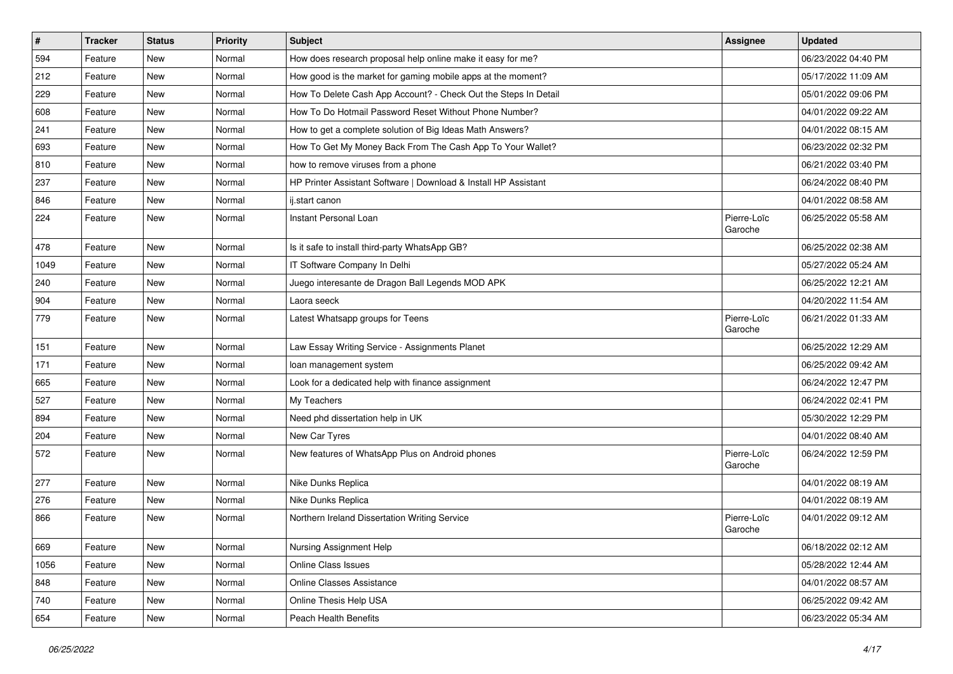| $\vert$ # | <b>Tracker</b> | <b>Status</b> | <b>Priority</b> | <b>Subject</b>                                                  | Assignee               | <b>Updated</b>      |
|-----------|----------------|---------------|-----------------|-----------------------------------------------------------------|------------------------|---------------------|
| 594       | Feature        | New           | Normal          | How does research proposal help online make it easy for me?     |                        | 06/23/2022 04:40 PM |
| 212       | Feature        | New           | Normal          | How good is the market for gaming mobile apps at the moment?    |                        | 05/17/2022 11:09 AM |
| 229       | Feature        | New           | Normal          | How To Delete Cash App Account? - Check Out the Steps In Detail |                        | 05/01/2022 09:06 PM |
| 608       | Feature        | New           | Normal          | How To Do Hotmail Password Reset Without Phone Number?          |                        | 04/01/2022 09:22 AM |
| 241       | Feature        | New           | Normal          | How to get a complete solution of Big Ideas Math Answers?       |                        | 04/01/2022 08:15 AM |
| 693       | Feature        | New           | Normal          | How To Get My Money Back From The Cash App To Your Wallet?      |                        | 06/23/2022 02:32 PM |
| 810       | Feature        | New           | Normal          | how to remove viruses from a phone                              |                        | 06/21/2022 03:40 PM |
| 237       | Feature        | New           | Normal          | HP Printer Assistant Software   Download & Install HP Assistant |                        | 06/24/2022 08:40 PM |
| 846       | Feature        | New           | Normal          | ij.start canon                                                  |                        | 04/01/2022 08:58 AM |
| 224       | Feature        | New           | Normal          | Instant Personal Loan                                           | Pierre-Loïc<br>Garoche | 06/25/2022 05:58 AM |
| 478       | Feature        | New           | Normal          | Is it safe to install third-party WhatsApp GB?                  |                        | 06/25/2022 02:38 AM |
| 1049      | Feature        | New           | Normal          | IT Software Company In Delhi                                    |                        | 05/27/2022 05:24 AM |
| 240       | Feature        | New           | Normal          | Juego interesante de Dragon Ball Legends MOD APK                |                        | 06/25/2022 12:21 AM |
| 904       | Feature        | New           | Normal          | Laora seeck                                                     |                        | 04/20/2022 11:54 AM |
| 779       | Feature        | New           | Normal          | Latest Whatsapp groups for Teens                                | Pierre-Loïc<br>Garoche | 06/21/2022 01:33 AM |
| 151       | Feature        | New           | Normal          | Law Essay Writing Service - Assignments Planet                  |                        | 06/25/2022 12:29 AM |
| 171       | Feature        | New           | Normal          | loan management system                                          |                        | 06/25/2022 09:42 AM |
| 665       | Feature        | New           | Normal          | Look for a dedicated help with finance assignment               |                        | 06/24/2022 12:47 PM |
| 527       | Feature        | New           | Normal          | My Teachers                                                     |                        | 06/24/2022 02:41 PM |
| 894       | Feature        | New           | Normal          | Need phd dissertation help in UK                                |                        | 05/30/2022 12:29 PM |
| 204       | Feature        | New           | Normal          | New Car Tyres                                                   |                        | 04/01/2022 08:40 AM |
| 572       | Feature        | New           | Normal          | New features of WhatsApp Plus on Android phones                 | Pierre-Loïc<br>Garoche | 06/24/2022 12:59 PM |
| 277       | Feature        | New           | Normal          | Nike Dunks Replica                                              |                        | 04/01/2022 08:19 AM |
| 276       | Feature        | New           | Normal          | Nike Dunks Replica                                              |                        | 04/01/2022 08:19 AM |
| 866       | Feature        | New           | Normal          | Northern Ireland Dissertation Writing Service                   | Pierre-Loïc<br>Garoche | 04/01/2022 09:12 AM |
| 669       | Feature        | New           | Normal          | Nursing Assignment Help                                         |                        | 06/18/2022 02:12 AM |
| 1056      | Feature        | New           | Normal          | Online Class Issues                                             |                        | 05/28/2022 12:44 AM |
| 848       | Feature        | New           | Normal          | Online Classes Assistance                                       |                        | 04/01/2022 08:57 AM |
| 740       | Feature        | New           | Normal          | Online Thesis Help USA                                          |                        | 06/25/2022 09:42 AM |
| 654       | Feature        | New           | Normal          | Peach Health Benefits                                           |                        | 06/23/2022 05:34 AM |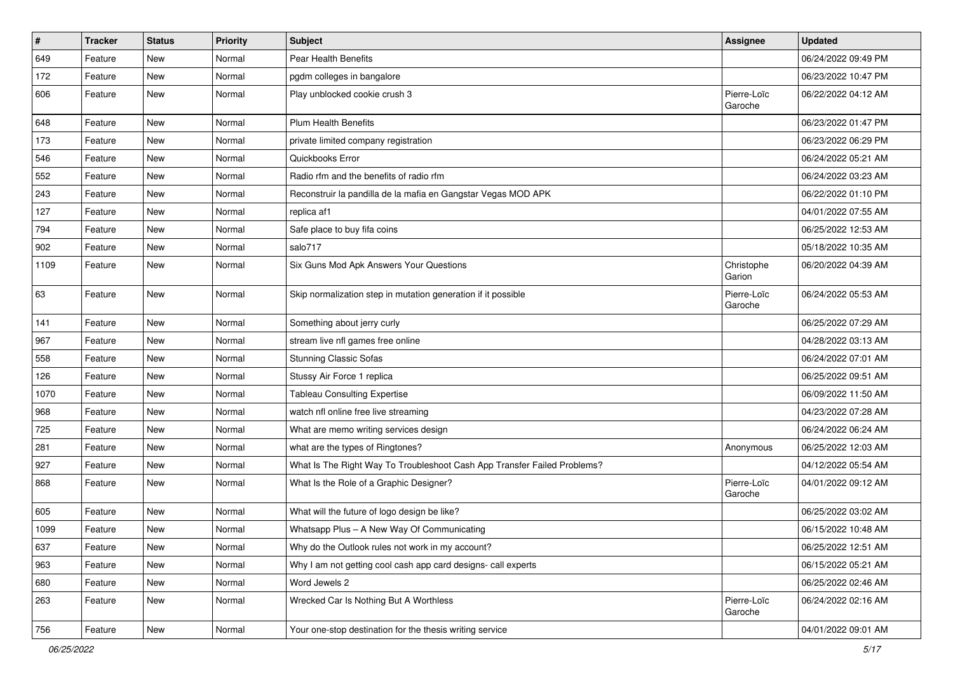| $\vert$ # | <b>Tracker</b> | <b>Status</b> | <b>Priority</b> | <b>Subject</b>                                                           | <b>Assignee</b>        | <b>Updated</b>      |
|-----------|----------------|---------------|-----------------|--------------------------------------------------------------------------|------------------------|---------------------|
| 649       | Feature        | New           | Normal          | Pear Health Benefits                                                     |                        | 06/24/2022 09:49 PM |
| 172       | Feature        | New           | Normal          | pgdm colleges in bangalore                                               |                        | 06/23/2022 10:47 PM |
| 606       | Feature        | New           | Normal          | Play unblocked cookie crush 3                                            | Pierre-Loïc<br>Garoche | 06/22/2022 04:12 AM |
| 648       | Feature        | New           | Normal          | <b>Plum Health Benefits</b>                                              |                        | 06/23/2022 01:47 PM |
| 173       | Feature        | New           | Normal          | private limited company registration                                     |                        | 06/23/2022 06:29 PM |
| 546       | Feature        | New           | Normal          | Quickbooks Error                                                         |                        | 06/24/2022 05:21 AM |
| 552       | Feature        | New           | Normal          | Radio rfm and the benefits of radio rfm                                  |                        | 06/24/2022 03:23 AM |
| 243       | Feature        | New           | Normal          | Reconstruir la pandilla de la mafia en Gangstar Vegas MOD APK            |                        | 06/22/2022 01:10 PM |
| 127       | Feature        | New           | Normal          | replica af1                                                              |                        | 04/01/2022 07:55 AM |
| 794       | Feature        | New           | Normal          | Safe place to buy fifa coins                                             |                        | 06/25/2022 12:53 AM |
| 902       | Feature        | <b>New</b>    | Normal          | salo717                                                                  |                        | 05/18/2022 10:35 AM |
| 1109      | Feature        | New           | Normal          | Six Guns Mod Apk Answers Your Questions                                  | Christophe<br>Garion   | 06/20/2022 04:39 AM |
| 63        | Feature        | New           | Normal          | Skip normalization step in mutation generation if it possible            | Pierre-Loïc<br>Garoche | 06/24/2022 05:53 AM |
| 141       | Feature        | New           | Normal          | Something about jerry curly                                              |                        | 06/25/2022 07:29 AM |
| 967       | Feature        | New           | Normal          | stream live nfl games free online                                        |                        | 04/28/2022 03:13 AM |
| 558       | Feature        | New           | Normal          | <b>Stunning Classic Sofas</b>                                            |                        | 06/24/2022 07:01 AM |
| 126       | Feature        | New           | Normal          | Stussy Air Force 1 replica                                               |                        | 06/25/2022 09:51 AM |
| 1070      | Feature        | New           | Normal          | <b>Tableau Consulting Expertise</b>                                      |                        | 06/09/2022 11:50 AM |
| 968       | Feature        | New           | Normal          | watch nfl online free live streaming                                     |                        | 04/23/2022 07:28 AM |
| 725       | Feature        | New           | Normal          | What are memo writing services design                                    |                        | 06/24/2022 06:24 AM |
| 281       | Feature        | New           | Normal          | what are the types of Ringtones?                                         | Anonymous              | 06/25/2022 12:03 AM |
| 927       | Feature        | <b>New</b>    | Normal          | What Is The Right Way To Troubleshoot Cash App Transfer Failed Problems? |                        | 04/12/2022 05:54 AM |
| 868       | Feature        | <b>New</b>    | Normal          | What Is the Role of a Graphic Designer?                                  | Pierre-Loïc<br>Garoche | 04/01/2022 09:12 AM |
| 605       | Feature        | New           | Normal          | What will the future of logo design be like?                             |                        | 06/25/2022 03:02 AM |
| 1099      | Feature        | New           | Normal          | Whatsapp Plus - A New Way Of Communicating                               |                        | 06/15/2022 10:48 AM |
| 637       | Feature        | New           | Normal          | Why do the Outlook rules not work in my account?                         |                        | 06/25/2022 12:51 AM |
| 963       | Feature        | New           | Normal          | Why I am not getting cool cash app card designs- call experts            |                        | 06/15/2022 05:21 AM |
| 680       | Feature        | New           | Normal          | Word Jewels 2                                                            |                        | 06/25/2022 02:46 AM |
| 263       | Feature        | New           | Normal          | Wrecked Car Is Nothing But A Worthless                                   | Pierre-Loïc<br>Garoche | 06/24/2022 02:16 AM |
| 756       | Feature        | New           | Normal          | Your one-stop destination for the thesis writing service                 |                        | 04/01/2022 09:01 AM |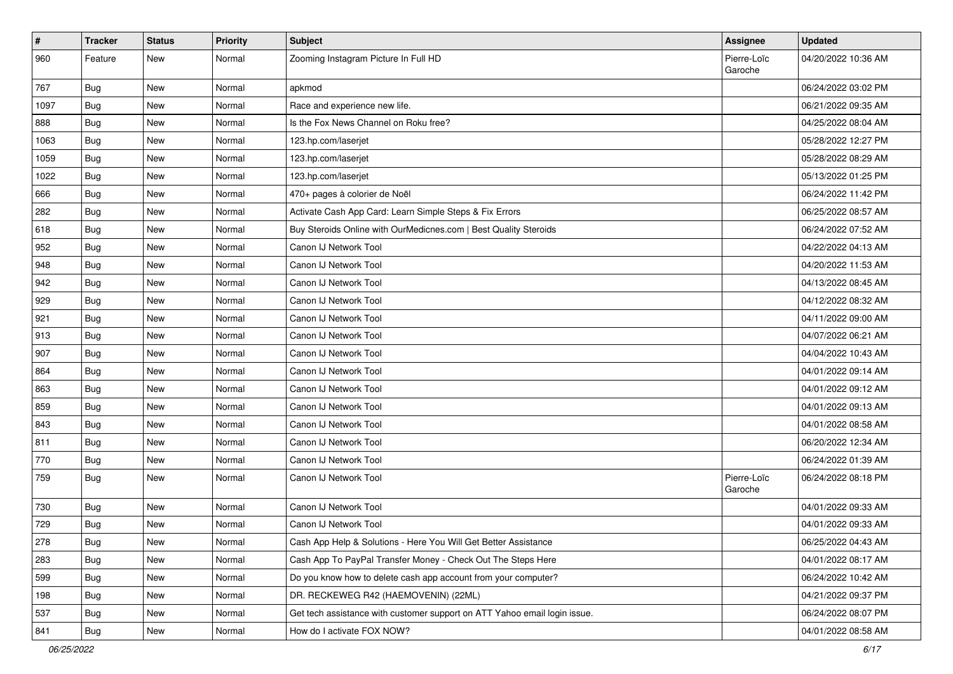| $\vert$ # | <b>Tracker</b> | <b>Status</b> | <b>Priority</b> | <b>Subject</b>                                                            | Assignee               | <b>Updated</b>      |
|-----------|----------------|---------------|-----------------|---------------------------------------------------------------------------|------------------------|---------------------|
| 960       | Feature        | New           | Normal          | Zooming Instagram Picture In Full HD                                      | Pierre-Loïc<br>Garoche | 04/20/2022 10:36 AM |
| 767       | <b>Bug</b>     | New           | Normal          | apkmod                                                                    |                        | 06/24/2022 03:02 PM |
| 1097      | Bug            | New           | Normal          | Race and experience new life.                                             |                        | 06/21/2022 09:35 AM |
| 888       | Bug            | New           | Normal          | Is the Fox News Channel on Roku free?                                     |                        | 04/25/2022 08:04 AM |
| 1063      | Bug            | New           | Normal          | 123.hp.com/laserjet                                                       |                        | 05/28/2022 12:27 PM |
| 1059      | Bug            | New           | Normal          | 123.hp.com/laserjet                                                       |                        | 05/28/2022 08:29 AM |
| 1022      | Bug            | New           | Normal          | 123.hp.com/laserjet                                                       |                        | 05/13/2022 01:25 PM |
| 666       | Bug            | New           | Normal          | 470+ pages à colorier de Noël                                             |                        | 06/24/2022 11:42 PM |
| 282       | Bug            | New           | Normal          | Activate Cash App Card: Learn Simple Steps & Fix Errors                   |                        | 06/25/2022 08:57 AM |
| 618       | <b>Bug</b>     | New           | Normal          | Buy Steroids Online with OurMedicnes.com   Best Quality Steroids          |                        | 06/24/2022 07:52 AM |
| 952       | Bug            | New           | Normal          | Canon IJ Network Tool                                                     |                        | 04/22/2022 04:13 AM |
| 948       | Bug            | New           | Normal          | Canon IJ Network Tool                                                     |                        | 04/20/2022 11:53 AM |
| 942       | <b>Bug</b>     | New           | Normal          | Canon IJ Network Tool                                                     |                        | 04/13/2022 08:45 AM |
| 929       | Bug            | New           | Normal          | Canon IJ Network Tool                                                     |                        | 04/12/2022 08:32 AM |
| 921       | Bug            | New           | Normal          | Canon IJ Network Tool                                                     |                        | 04/11/2022 09:00 AM |
| 913       | Bug            | New           | Normal          | Canon IJ Network Tool                                                     |                        | 04/07/2022 06:21 AM |
| 907       | Bug            | New           | Normal          | Canon IJ Network Tool                                                     |                        | 04/04/2022 10:43 AM |
| 864       | Bug            | New           | Normal          | Canon IJ Network Tool                                                     |                        | 04/01/2022 09:14 AM |
| 863       | Bug            | New           | Normal          | Canon IJ Network Tool                                                     |                        | 04/01/2022 09:12 AM |
| 859       | Bug            | New           | Normal          | Canon IJ Network Tool                                                     |                        | 04/01/2022 09:13 AM |
| 843       | Bug            | New           | Normal          | Canon IJ Network Tool                                                     |                        | 04/01/2022 08:58 AM |
| 811       | Bug            | New           | Normal          | Canon IJ Network Tool                                                     |                        | 06/20/2022 12:34 AM |
| 770       | Bug            | New           | Normal          | Canon IJ Network Tool                                                     |                        | 06/24/2022 01:39 AM |
| 759       | Bug            | New           | Normal          | Canon IJ Network Tool                                                     | Pierre-Loïc<br>Garoche | 06/24/2022 08:18 PM |
| 730       | Bug            | New           | Normal          | Canon IJ Network Tool                                                     |                        | 04/01/2022 09:33 AM |
| 729       | Bug            | New           | Normal          | Canon IJ Network Tool                                                     |                        | 04/01/2022 09:33 AM |
| 278       | <b>Bug</b>     | New           | Normal          | Cash App Help & Solutions - Here You Will Get Better Assistance           |                        | 06/25/2022 04:43 AM |
| 283       | Bug            | New           | Normal          | Cash App To PayPal Transfer Money - Check Out The Steps Here              |                        | 04/01/2022 08:17 AM |
| 599       | Bug            | New           | Normal          | Do you know how to delete cash app account from your computer?            |                        | 06/24/2022 10:42 AM |
| 198       | <b>Bug</b>     | New           | Normal          | DR. RECKEWEG R42 (HAEMOVENIN) (22ML)                                      |                        | 04/21/2022 09:37 PM |
| 537       | <b>Bug</b>     | New           | Normal          | Get tech assistance with customer support on ATT Yahoo email login issue. |                        | 06/24/2022 08:07 PM |
| 841       | Bug            | New           | Normal          | How do I activate FOX NOW?                                                |                        | 04/01/2022 08:58 AM |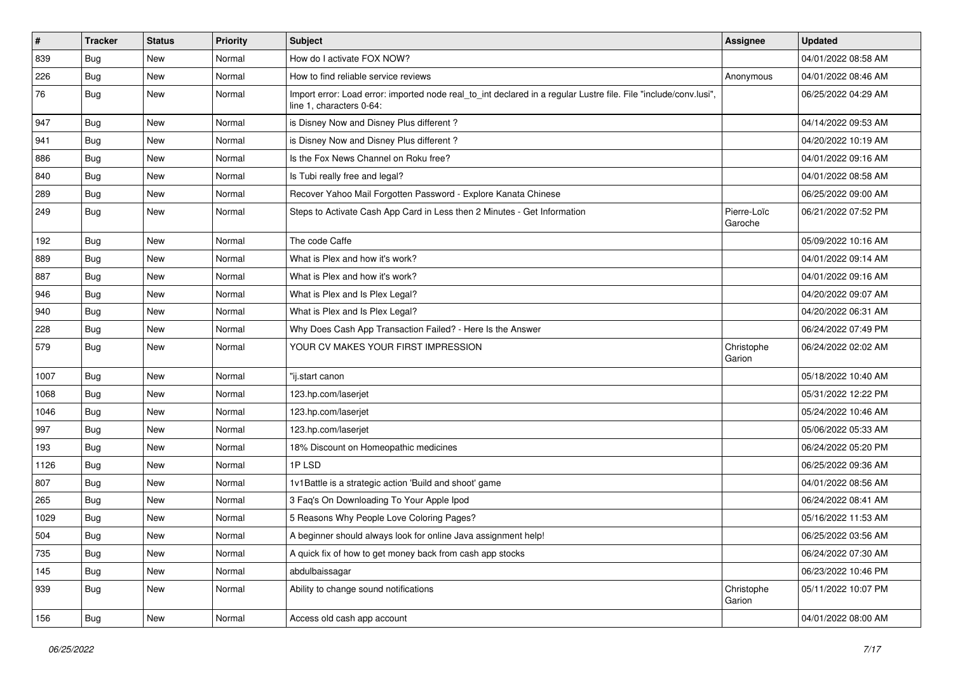| $\sharp$ | <b>Tracker</b> | <b>Status</b> | <b>Priority</b> | <b>Subject</b>                                                                                                                               | <b>Assignee</b>        | <b>Updated</b>      |
|----------|----------------|---------------|-----------------|----------------------------------------------------------------------------------------------------------------------------------------------|------------------------|---------------------|
| 839      | Bug            | New           | Normal          | How do I activate FOX NOW?                                                                                                                   |                        | 04/01/2022 08:58 AM |
| 226      | Bug            | New           | Normal          | How to find reliable service reviews                                                                                                         | Anonymous              | 04/01/2022 08:46 AM |
| 76       | Bug            | New           | Normal          | Import error: Load error: imported node real to int declared in a regular Lustre file. File "include/conv.lusi",<br>line 1, characters 0-64: |                        | 06/25/2022 04:29 AM |
| 947      | Bug            | New           | Normal          | is Disney Now and Disney Plus different?                                                                                                     |                        | 04/14/2022 09:53 AM |
| 941      | Bug            | New           | Normal          | is Disney Now and Disney Plus different?                                                                                                     |                        | 04/20/2022 10:19 AM |
| 886      | Bug            | New           | Normal          | Is the Fox News Channel on Roku free?                                                                                                        |                        | 04/01/2022 09:16 AM |
| 840      | Bug            | New           | Normal          | Is Tubi really free and legal?                                                                                                               |                        | 04/01/2022 08:58 AM |
| 289      | Bug            | New           | Normal          | Recover Yahoo Mail Forgotten Password - Explore Kanata Chinese                                                                               |                        | 06/25/2022 09:00 AM |
| 249      | Bug            | New           | Normal          | Steps to Activate Cash App Card in Less then 2 Minutes - Get Information                                                                     | Pierre-Loïc<br>Garoche | 06/21/2022 07:52 PM |
| 192      | Bug            | <b>New</b>    | Normal          | The code Caffe                                                                                                                               |                        | 05/09/2022 10:16 AM |
| 889      | Bug            | New           | Normal          | What is Plex and how it's work?                                                                                                              |                        | 04/01/2022 09:14 AM |
| 887      | <b>Bug</b>     | New           | Normal          | What is Plex and how it's work?                                                                                                              |                        | 04/01/2022 09:16 AM |
| 946      | Bug            | New           | Normal          | What is Plex and Is Plex Legal?                                                                                                              |                        | 04/20/2022 09:07 AM |
| 940      | Bug            | New           | Normal          | What is Plex and Is Plex Legal?                                                                                                              |                        | 04/20/2022 06:31 AM |
| 228      | Bug            | New           | Normal          | Why Does Cash App Transaction Failed? - Here Is the Answer                                                                                   |                        | 06/24/2022 07:49 PM |
| 579      | Bug            | New           | Normal          | YOUR CV MAKES YOUR FIRST IMPRESSION                                                                                                          | Christophe<br>Garion   | 06/24/2022 02:02 AM |
| 1007     | Bug            | <b>New</b>    | Normal          | "ij.start canon                                                                                                                              |                        | 05/18/2022 10:40 AM |
| 1068     | Bug            | New           | Normal          | 123.hp.com/laserjet                                                                                                                          |                        | 05/31/2022 12:22 PM |
| 1046     | Bug            | New           | Normal          | 123.hp.com/laserjet                                                                                                                          |                        | 05/24/2022 10:46 AM |
| 997      | Bug            | New           | Normal          | 123.hp.com/laserjet                                                                                                                          |                        | 05/06/2022 05:33 AM |
| 193      | Bug            | New           | Normal          | 18% Discount on Homeopathic medicines                                                                                                        |                        | 06/24/2022 05:20 PM |
| 1126     | Bug            | <b>New</b>    | Normal          | 1PLSD                                                                                                                                        |                        | 06/25/2022 09:36 AM |
| 807      | Bug            | New           | Normal          | 1v1Battle is a strategic action 'Build and shoot' game                                                                                       |                        | 04/01/2022 08:56 AM |
| 265      | Bug            | New           | Normal          | 3 Faq's On Downloading To Your Apple Ipod                                                                                                    |                        | 06/24/2022 08:41 AM |
| 1029     | Bug            | New           | Normal          | 5 Reasons Why People Love Coloring Pages?                                                                                                    |                        | 05/16/2022 11:53 AM |
| 504      | <b>Bug</b>     | New           | Normal          | A beginner should always look for online Java assignment help!                                                                               |                        | 06/25/2022 03:56 AM |
| 735      | Bug            | New           | Normal          | A quick fix of how to get money back from cash app stocks                                                                                    |                        | 06/24/2022 07:30 AM |
| 145      | Bug            | New           | Normal          | abdulbaissagar                                                                                                                               |                        | 06/23/2022 10:46 PM |
| 939      | Bug            | New           | Normal          | Ability to change sound notifications                                                                                                        | Christophe<br>Garion   | 05/11/2022 10:07 PM |
| 156      | <b>Bug</b>     | New           | Normal          | Access old cash app account                                                                                                                  |                        | 04/01/2022 08:00 AM |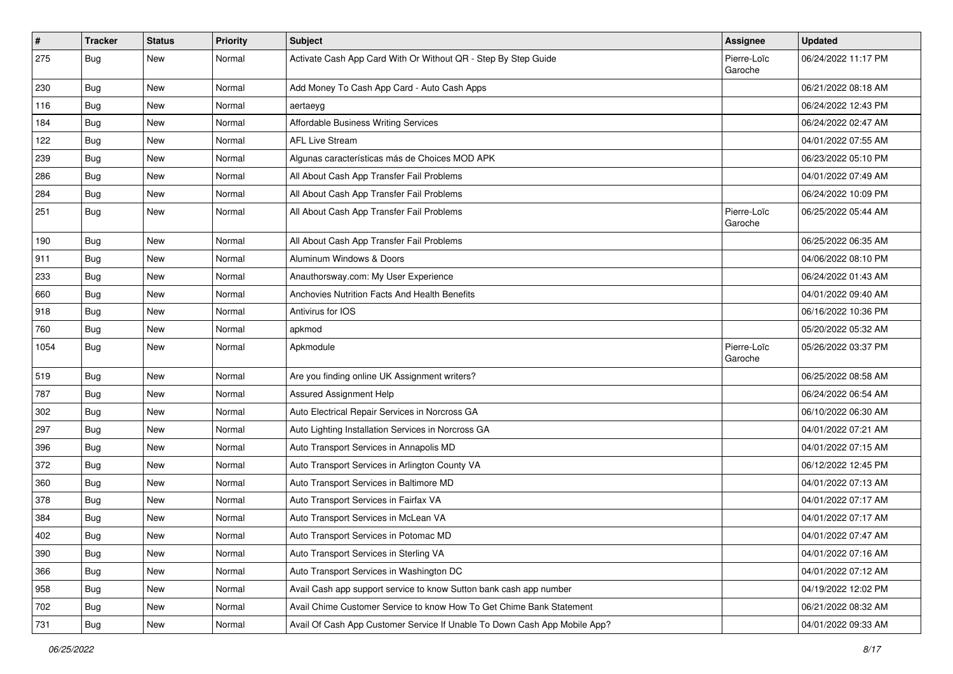| $\vert$ # | <b>Tracker</b> | <b>Status</b> | <b>Priority</b> | <b>Subject</b>                                                            | Assignee               | <b>Updated</b>      |
|-----------|----------------|---------------|-----------------|---------------------------------------------------------------------------|------------------------|---------------------|
| 275       | <b>Bug</b>     | New           | Normal          | Activate Cash App Card With Or Without QR - Step By Step Guide            | Pierre-Loïc<br>Garoche | 06/24/2022 11:17 PM |
| 230       | <b>Bug</b>     | New           | Normal          | Add Money To Cash App Card - Auto Cash Apps                               |                        | 06/21/2022 08:18 AM |
| 116       | <b>Bug</b>     | New           | Normal          | aertaeyg                                                                  |                        | 06/24/2022 12:43 PM |
| 184       | Bug            | New           | Normal          | Affordable Business Writing Services                                      |                        | 06/24/2022 02:47 AM |
| 122       | <b>Bug</b>     | New           | Normal          | <b>AFL Live Stream</b>                                                    |                        | 04/01/2022 07:55 AM |
| 239       | <b>Bug</b>     | New           | Normal          | Algunas características más de Choices MOD APK                            |                        | 06/23/2022 05:10 PM |
| 286       | Bug            | New           | Normal          | All About Cash App Transfer Fail Problems                                 |                        | 04/01/2022 07:49 AM |
| 284       | <b>Bug</b>     | New           | Normal          | All About Cash App Transfer Fail Problems                                 |                        | 06/24/2022 10:09 PM |
| 251       | Bug            | New           | Normal          | All About Cash App Transfer Fail Problems                                 | Pierre-Loïc<br>Garoche | 06/25/2022 05:44 AM |
| 190       | Bug            | New           | Normal          | All About Cash App Transfer Fail Problems                                 |                        | 06/25/2022 06:35 AM |
| 911       | Bug            | New           | Normal          | Aluminum Windows & Doors                                                  |                        | 04/06/2022 08:10 PM |
| 233       | Bug            | New           | Normal          | Anauthorsway.com: My User Experience                                      |                        | 06/24/2022 01:43 AM |
| 660       | Bug            | New           | Normal          | Anchovies Nutrition Facts And Health Benefits                             |                        | 04/01/2022 09:40 AM |
| 918       | Bug            | New           | Normal          | Antivirus for IOS                                                         |                        | 06/16/2022 10:36 PM |
| 760       | Bug            | New           | Normal          | apkmod                                                                    |                        | 05/20/2022 05:32 AM |
| 1054      | Bug            | New           | Normal          | Apkmodule                                                                 | Pierre-Loïc<br>Garoche | 05/26/2022 03:37 PM |
| 519       | Bug            | New           | Normal          | Are you finding online UK Assignment writers?                             |                        | 06/25/2022 08:58 AM |
| 787       | Bug            | New           | Normal          | Assured Assignment Help                                                   |                        | 06/24/2022 06:54 AM |
| 302       | <b>Bug</b>     | New           | Normal          | Auto Electrical Repair Services in Norcross GA                            |                        | 06/10/2022 06:30 AM |
| 297       | <b>Bug</b>     | New           | Normal          | Auto Lighting Installation Services in Norcross GA                        |                        | 04/01/2022 07:21 AM |
| 396       | Bug            | New           | Normal          | Auto Transport Services in Annapolis MD                                   |                        | 04/01/2022 07:15 AM |
| 372       | <b>Bug</b>     | New           | Normal          | Auto Transport Services in Arlington County VA                            |                        | 06/12/2022 12:45 PM |
| 360       | Bug            | New           | Normal          | Auto Transport Services in Baltimore MD                                   |                        | 04/01/2022 07:13 AM |
| 378       | Bug            | New           | Normal          | Auto Transport Services in Fairfax VA                                     |                        | 04/01/2022 07:17 AM |
| 384       | <b>Bug</b>     | New           | Normal          | Auto Transport Services in McLean VA                                      |                        | 04/01/2022 07:17 AM |
| 402       | Bug            | New           | Normal          | Auto Transport Services in Potomac MD                                     |                        | 04/01/2022 07:47 AM |
| 390       | <b>Bug</b>     | New           | Normal          | Auto Transport Services in Sterling VA                                    |                        | 04/01/2022 07:16 AM |
| 366       | Bug            | New           | Normal          | Auto Transport Services in Washington DC                                  |                        | 04/01/2022 07:12 AM |
| 958       | <b>Bug</b>     | New           | Normal          | Avail Cash app support service to know Sutton bank cash app number        |                        | 04/19/2022 12:02 PM |
| 702       | Bug            | New           | Normal          | Avail Chime Customer Service to know How To Get Chime Bank Statement      |                        | 06/21/2022 08:32 AM |
| 731       | <b>Bug</b>     | New           | Normal          | Avail Of Cash App Customer Service If Unable To Down Cash App Mobile App? |                        | 04/01/2022 09:33 AM |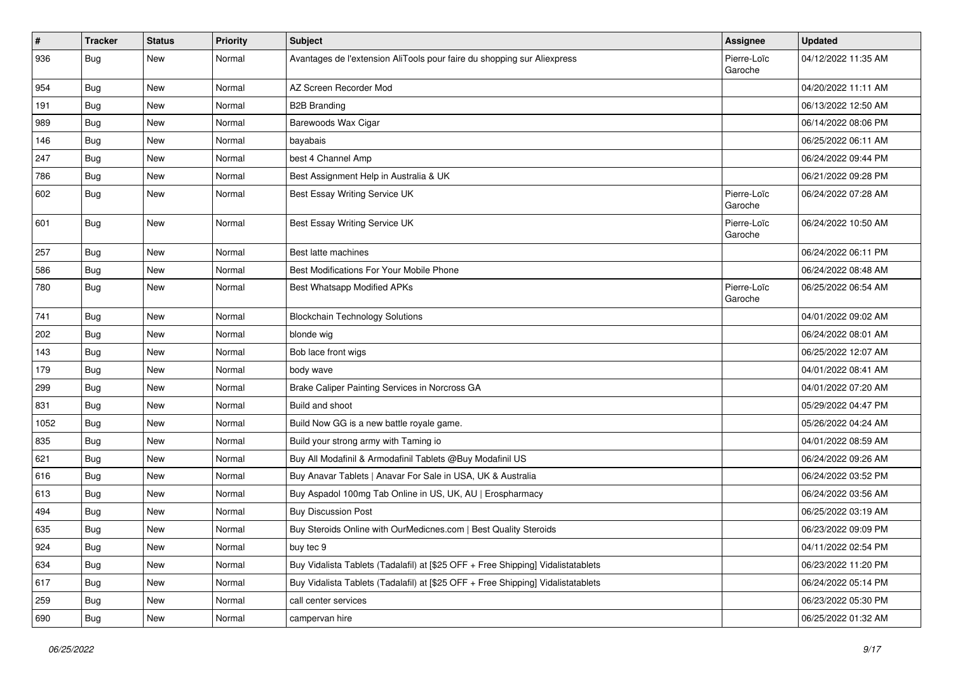| $\vert$ # | <b>Tracker</b> | <b>Status</b> | <b>Priority</b> | <b>Subject</b>                                                                   | Assignee               | <b>Updated</b>      |
|-----------|----------------|---------------|-----------------|----------------------------------------------------------------------------------|------------------------|---------------------|
| 936       | <b>Bug</b>     | New           | Normal          | Avantages de l'extension AliTools pour faire du shopping sur Aliexpress          | Pierre-Loïc<br>Garoche | 04/12/2022 11:35 AM |
| 954       | Bug            | New           | Normal          | AZ Screen Recorder Mod                                                           |                        | 04/20/2022 11:11 AM |
| 191       | Bug            | New           | Normal          | <b>B2B Branding</b>                                                              |                        | 06/13/2022 12:50 AM |
| 989       | Bug            | New           | Normal          | Barewoods Wax Cigar                                                              |                        | 06/14/2022 08:06 PM |
| 146       | <b>Bug</b>     | New           | Normal          | bayabais                                                                         |                        | 06/25/2022 06:11 AM |
| 247       | <b>Bug</b>     | New           | Normal          | best 4 Channel Amp                                                               |                        | 06/24/2022 09:44 PM |
| 786       | Bug            | New           | Normal          | Best Assignment Help in Australia & UK                                           |                        | 06/21/2022 09:28 PM |
| 602       | <b>Bug</b>     | New           | Normal          | Best Essay Writing Service UK                                                    | Pierre-Loïc<br>Garoche | 06/24/2022 07:28 AM |
| 601       | Bug            | New           | Normal          | Best Essay Writing Service UK                                                    | Pierre-Loïc<br>Garoche | 06/24/2022 10:50 AM |
| 257       | Bug            | New           | Normal          | Best latte machines                                                              |                        | 06/24/2022 06:11 PM |
| 586       | <b>Bug</b>     | New           | Normal          | Best Modifications For Your Mobile Phone                                         |                        | 06/24/2022 08:48 AM |
| 780       | Bug            | New           | Normal          | Best Whatsapp Modified APKs                                                      | Pierre-Loïc<br>Garoche | 06/25/2022 06:54 AM |
| 741       | Bug            | New           | Normal          | <b>Blockchain Technology Solutions</b>                                           |                        | 04/01/2022 09:02 AM |
| 202       | Bug            | New           | Normal          | blonde wig                                                                       |                        | 06/24/2022 08:01 AM |
| 143       | Bug            | New           | Normal          | Bob lace front wigs                                                              |                        | 06/25/2022 12:07 AM |
| 179       | <b>Bug</b>     | New           | Normal          | body wave                                                                        |                        | 04/01/2022 08:41 AM |
| 299       | Bug            | New           | Normal          | Brake Caliper Painting Services in Norcross GA                                   |                        | 04/01/2022 07:20 AM |
| 831       | <b>Bug</b>     | New           | Normal          | Build and shoot                                                                  |                        | 05/29/2022 04:47 PM |
| 1052      | Bug            | New           | Normal          | Build Now GG is a new battle royale game.                                        |                        | 05/26/2022 04:24 AM |
| 835       | Bug            | New           | Normal          | Build your strong army with Taming io                                            |                        | 04/01/2022 08:59 AM |
| 621       | <b>Bug</b>     | New           | Normal          | Buy All Modafinil & Armodafinil Tablets @Buy Modafinil US                        |                        | 06/24/2022 09:26 AM |
| 616       | Bug            | New           | Normal          | Buy Anavar Tablets   Anavar For Sale in USA, UK & Australia                      |                        | 06/24/2022 03:52 PM |
| 613       | Bug            | New           | Normal          | Buy Aspadol 100mg Tab Online in US, UK, AU   Erospharmacy                        |                        | 06/24/2022 03:56 AM |
| 494       | <b>Bug</b>     | New           | Normal          | <b>Buy Discussion Post</b>                                                       |                        | 06/25/2022 03:19 AM |
| 635       | <b>Bug</b>     | New           | Normal          | Buy Steroids Online with OurMedicnes.com   Best Quality Steroids                 |                        | 06/23/2022 09:09 PM |
| 924       | Bug            | New           | Normal          | buy tec 9                                                                        |                        | 04/11/2022 02:54 PM |
| 634       | Bug            | New           | Normal          | Buy Vidalista Tablets (Tadalafil) at [\$25 OFF + Free Shipping] Vidalistatablets |                        | 06/23/2022 11:20 PM |
| 617       | <b>Bug</b>     | New           | Normal          | Buy Vidalista Tablets (Tadalafil) at [\$25 OFF + Free Shipping] Vidalistatablets |                        | 06/24/2022 05:14 PM |
| 259       | <b>Bug</b>     | New           | Normal          | call center services                                                             |                        | 06/23/2022 05:30 PM |
| 690       | <b>Bug</b>     | New           | Normal          | campervan hire                                                                   |                        | 06/25/2022 01:32 AM |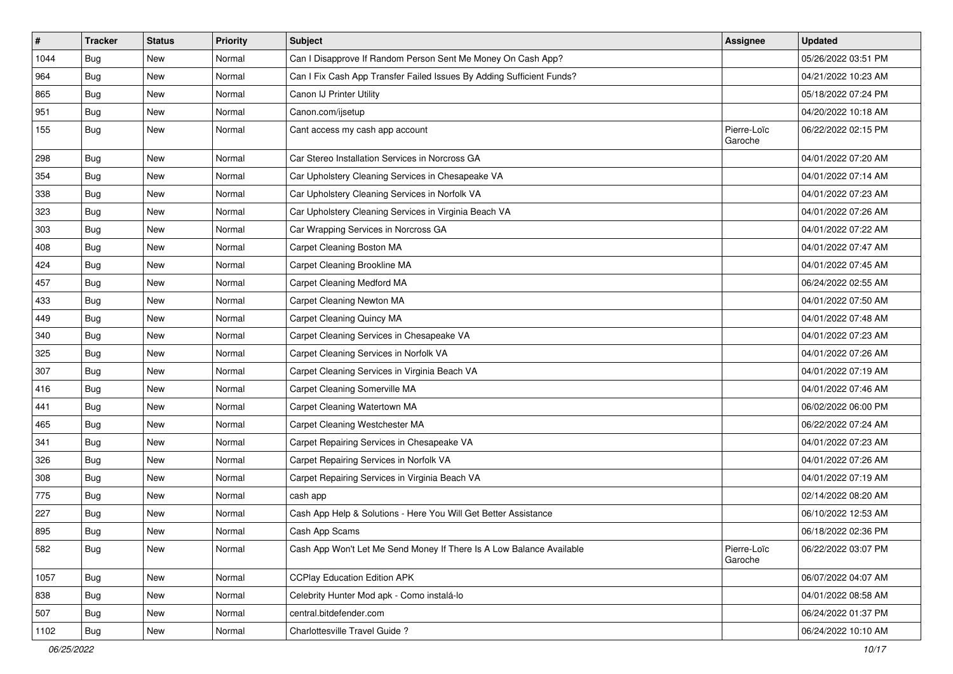| $\pmb{\#}$ | <b>Tracker</b> | <b>Status</b> | <b>Priority</b> | <b>Subject</b>                                                        | Assignee               | <b>Updated</b>      |
|------------|----------------|---------------|-----------------|-----------------------------------------------------------------------|------------------------|---------------------|
| 1044       | <b>Bug</b>     | New           | Normal          | Can I Disapprove If Random Person Sent Me Money On Cash App?          |                        | 05/26/2022 03:51 PM |
| 964        | Bug            | New           | Normal          | Can I Fix Cash App Transfer Failed Issues By Adding Sufficient Funds? |                        | 04/21/2022 10:23 AM |
| 865        | Bug            | New           | Normal          | Canon IJ Printer Utility                                              |                        | 05/18/2022 07:24 PM |
| 951        | Bug            | New           | Normal          | Canon.com/ijsetup                                                     |                        | 04/20/2022 10:18 AM |
| 155        | Bug            | New           | Normal          | Cant access my cash app account                                       | Pierre-Loïc<br>Garoche | 06/22/2022 02:15 PM |
| 298        | Bug            | New           | Normal          | Car Stereo Installation Services in Norcross GA                       |                        | 04/01/2022 07:20 AM |
| 354        | Bug            | New           | Normal          | Car Upholstery Cleaning Services in Chesapeake VA                     |                        | 04/01/2022 07:14 AM |
| 338        | Bug            | New           | Normal          | Car Upholstery Cleaning Services in Norfolk VA                        |                        | 04/01/2022 07:23 AM |
| 323        | Bug            | <b>New</b>    | Normal          | Car Upholstery Cleaning Services in Virginia Beach VA                 |                        | 04/01/2022 07:26 AM |
| 303        | Bug            | New           | Normal          | Car Wrapping Services in Norcross GA                                  |                        | 04/01/2022 07:22 AM |
| 408        | Bug            | New           | Normal          | Carpet Cleaning Boston MA                                             |                        | 04/01/2022 07:47 AM |
| 424        | Bug            | New           | Normal          | Carpet Cleaning Brookline MA                                          |                        | 04/01/2022 07:45 AM |
| 457        | Bug            | New           | Normal          | Carpet Cleaning Medford MA                                            |                        | 06/24/2022 02:55 AM |
| 433        | Bug            | New           | Normal          | Carpet Cleaning Newton MA                                             |                        | 04/01/2022 07:50 AM |
| 449        | Bug            | New           | Normal          | Carpet Cleaning Quincy MA                                             |                        | 04/01/2022 07:48 AM |
| 340        | Bug            | New           | Normal          | Carpet Cleaning Services in Chesapeake VA                             |                        | 04/01/2022 07:23 AM |
| 325        | Bug            | New           | Normal          | Carpet Cleaning Services in Norfolk VA                                |                        | 04/01/2022 07:26 AM |
| 307        | Bug            | New           | Normal          | Carpet Cleaning Services in Virginia Beach VA                         |                        | 04/01/2022 07:19 AM |
| 416        | Bug            | New           | Normal          | Carpet Cleaning Somerville MA                                         |                        | 04/01/2022 07:46 AM |
| 441        | Bug            | New           | Normal          | Carpet Cleaning Watertown MA                                          |                        | 06/02/2022 06:00 PM |
| 465        | Bug            | New           | Normal          | Carpet Cleaning Westchester MA                                        |                        | 06/22/2022 07:24 AM |
| 341        | Bug            | New           | Normal          | Carpet Repairing Services in Chesapeake VA                            |                        | 04/01/2022 07:23 AM |
| 326        | <b>Bug</b>     | New           | Normal          | Carpet Repairing Services in Norfolk VA                               |                        | 04/01/2022 07:26 AM |
| 308        | Bug            | New           | Normal          | Carpet Repairing Services in Virginia Beach VA                        |                        | 04/01/2022 07:19 AM |
| 775        | Bug            | New           | Normal          | cash app                                                              |                        | 02/14/2022 08:20 AM |
| 227        | Bug            | New           | Normal          | Cash App Help & Solutions - Here You Will Get Better Assistance       |                        | 06/10/2022 12:53 AM |
| 895        | Bug            | New           | Normal          | Cash App Scams                                                        |                        | 06/18/2022 02:36 PM |
| 582        | <b>Bug</b>     | New           | Normal          | Cash App Won't Let Me Send Money If There Is A Low Balance Available  | Pierre-Loïc<br>Garoche | 06/22/2022 03:07 PM |
| 1057       | <b>Bug</b>     | New           | Normal          | <b>CCPlay Education Edition APK</b>                                   |                        | 06/07/2022 04:07 AM |
| 838        | <b>Bug</b>     | New           | Normal          | Celebrity Hunter Mod apk - Como instalá-lo                            |                        | 04/01/2022 08:58 AM |
| 507        | <b>Bug</b>     | New           | Normal          | central.bitdefender.com                                               |                        | 06/24/2022 01:37 PM |
| 1102       | Bug            | New           | Normal          | Charlottesville Travel Guide?                                         |                        | 06/24/2022 10:10 AM |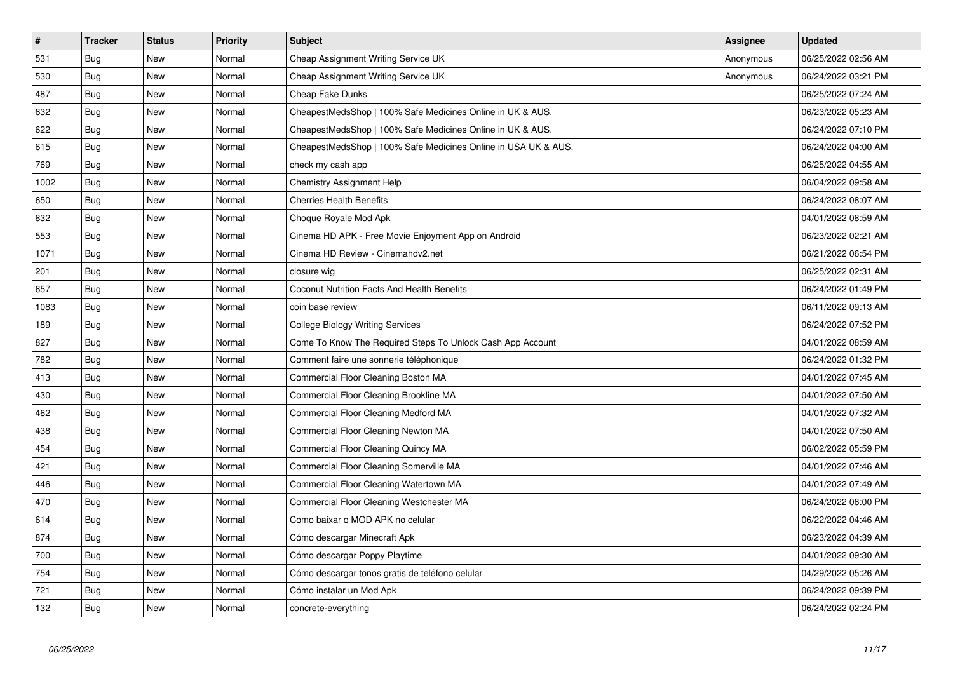| $\vert$ # | <b>Tracker</b> | <b>Status</b> | Priority | <b>Subject</b>                                                 | <b>Assignee</b> | <b>Updated</b>      |
|-----------|----------------|---------------|----------|----------------------------------------------------------------|-----------------|---------------------|
| 531       | Bug            | <b>New</b>    | Normal   | Cheap Assignment Writing Service UK                            | Anonymous       | 06/25/2022 02:56 AM |
| 530       | <b>Bug</b>     | New           | Normal   | Cheap Assignment Writing Service UK                            | Anonymous       | 06/24/2022 03:21 PM |
| 487       | Bug            | New           | Normal   | Cheap Fake Dunks                                               |                 | 06/25/2022 07:24 AM |
| 632       | <b>Bug</b>     | New           | Normal   | CheapestMedsShop   100% Safe Medicines Online in UK & AUS.     |                 | 06/23/2022 05:23 AM |
| 622       | <b>Bug</b>     | <b>New</b>    | Normal   | CheapestMedsShop   100% Safe Medicines Online in UK & AUS.     |                 | 06/24/2022 07:10 PM |
| 615       | Bug            | New           | Normal   | CheapestMedsShop   100% Safe Medicines Online in USA UK & AUS. |                 | 06/24/2022 04:00 AM |
| 769       | <b>Bug</b>     | New           | Normal   | check my cash app                                              |                 | 06/25/2022 04:55 AM |
| 1002      | <b>Bug</b>     | New           | Normal   | <b>Chemistry Assignment Help</b>                               |                 | 06/04/2022 09:58 AM |
| 650       | Bug            | New           | Normal   | <b>Cherries Health Benefits</b>                                |                 | 06/24/2022 08:07 AM |
| 832       | <b>Bug</b>     | New           | Normal   | Choque Royale Mod Apk                                          |                 | 04/01/2022 08:59 AM |
| 553       | <b>Bug</b>     | New           | Normal   | Cinema HD APK - Free Movie Enjoyment App on Android            |                 | 06/23/2022 02:21 AM |
| 1071      | Bug            | <b>New</b>    | Normal   | Cinema HD Review - Cinemahdv2.net                              |                 | 06/21/2022 06:54 PM |
| 201       | <b>Bug</b>     | New           | Normal   | closure wig                                                    |                 | 06/25/2022 02:31 AM |
| 657       | <b>Bug</b>     | New           | Normal   | Coconut Nutrition Facts And Health Benefits                    |                 | 06/24/2022 01:49 PM |
| 1083      | Bug            | New           | Normal   | coin base review                                               |                 | 06/11/2022 09:13 AM |
| 189       | <b>Bug</b>     | New           | Normal   | <b>College Biology Writing Services</b>                        |                 | 06/24/2022 07:52 PM |
| 827       | Bug            | New           | Normal   | Come To Know The Required Steps To Unlock Cash App Account     |                 | 04/01/2022 08:59 AM |
| 782       | <b>Bug</b>     | New           | Normal   | Comment faire une sonnerie téléphonique                        |                 | 06/24/2022 01:32 PM |
| 413       | Bug            | New           | Normal   | Commercial Floor Cleaning Boston MA                            |                 | 04/01/2022 07:45 AM |
| 430       | Bug            | New           | Normal   | Commercial Floor Cleaning Brookline MA                         |                 | 04/01/2022 07:50 AM |
| 462       | Bug            | New           | Normal   | Commercial Floor Cleaning Medford MA                           |                 | 04/01/2022 07:32 AM |
| 438       | Bug            | <b>New</b>    | Normal   | Commercial Floor Cleaning Newton MA                            |                 | 04/01/2022 07:50 AM |
| 454       | Bug            | New           | Normal   | Commercial Floor Cleaning Quincy MA                            |                 | 06/02/2022 05:59 PM |
| 421       | <b>Bug</b>     | <b>New</b>    | Normal   | Commercial Floor Cleaning Somerville MA                        |                 | 04/01/2022 07:46 AM |
| 446       | <b>Bug</b>     | New           | Normal   | Commercial Floor Cleaning Watertown MA                         |                 | 04/01/2022 07:49 AM |
| 470       | <b>Bug</b>     | New           | Normal   | Commercial Floor Cleaning Westchester MA                       |                 | 06/24/2022 06:00 PM |
| 614       | <b>Bug</b>     | New           | Normal   | Como baixar o MOD APK no celular                               |                 | 06/22/2022 04:46 AM |
| 874       | <b>Bug</b>     | New           | Normal   | Cómo descargar Minecraft Apk                                   |                 | 06/23/2022 04:39 AM |
| 700       | <b>Bug</b>     | New           | Normal   | Cómo descargar Poppy Playtime                                  |                 | 04/01/2022 09:30 AM |
| 754       | Bug            | New           | Normal   | Cómo descargar tonos gratis de teléfono celular                |                 | 04/29/2022 05:26 AM |
| 721       | Bug            | New           | Normal   | Cómo instalar un Mod Apk                                       |                 | 06/24/2022 09:39 PM |
| 132       | <b>Bug</b>     | New           | Normal   | concrete-everything                                            |                 | 06/24/2022 02:24 PM |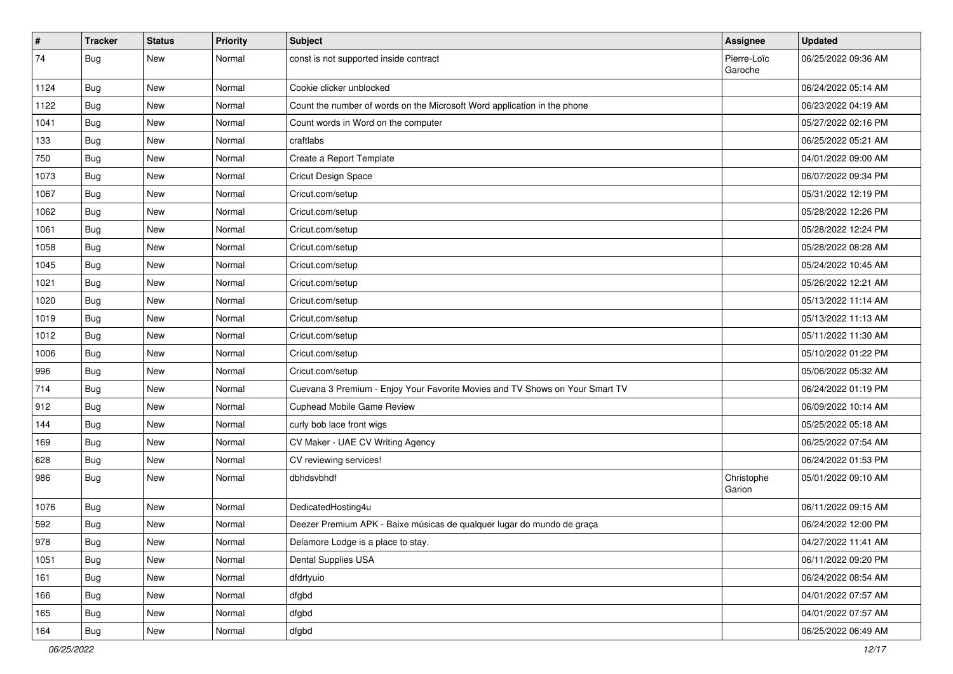| $\vert$ # | <b>Tracker</b> | <b>Status</b> | <b>Priority</b> | <b>Subject</b>                                                               | Assignee               | <b>Updated</b>      |
|-----------|----------------|---------------|-----------------|------------------------------------------------------------------------------|------------------------|---------------------|
| 74        | <b>Bug</b>     | New           | Normal          | const is not supported inside contract                                       | Pierre-Loïc<br>Garoche | 06/25/2022 09:36 AM |
| 1124      | <b>Bug</b>     | New           | Normal          | Cookie clicker unblocked                                                     |                        | 06/24/2022 05:14 AM |
| 1122      | Bug            | New           | Normal          | Count the number of words on the Microsoft Word application in the phone     |                        | 06/23/2022 04:19 AM |
| 1041      | Bug            | New           | Normal          | Count words in Word on the computer                                          |                        | 05/27/2022 02:16 PM |
| 133       | Bug            | New           | Normal          | craftlabs                                                                    |                        | 06/25/2022 05:21 AM |
| 750       | Bug            | New           | Normal          | Create a Report Template                                                     |                        | 04/01/2022 09:00 AM |
| 1073      | Bug            | New           | Normal          | <b>Cricut Design Space</b>                                                   |                        | 06/07/2022 09:34 PM |
| 1067      | Bug            | New           | Normal          | Cricut.com/setup                                                             |                        | 05/31/2022 12:19 PM |
| 1062      | Bug            | New           | Normal          | Cricut.com/setup                                                             |                        | 05/28/2022 12:26 PM |
| 1061      | Bug            | New           | Normal          | Cricut.com/setup                                                             |                        | 05/28/2022 12:24 PM |
| 1058      | Bug            | New           | Normal          | Cricut.com/setup                                                             |                        | 05/28/2022 08:28 AM |
| 1045      | Bug            | New           | Normal          | Cricut.com/setup                                                             |                        | 05/24/2022 10:45 AM |
| 1021      | Bug            | New           | Normal          | Cricut.com/setup                                                             |                        | 05/26/2022 12:21 AM |
| 1020      | Bug            | New           | Normal          | Cricut.com/setup                                                             |                        | 05/13/2022 11:14 AM |
| 1019      | Bug            | New           | Normal          | Cricut.com/setup                                                             |                        | 05/13/2022 11:13 AM |
| 1012      | Bug            | New           | Normal          | Cricut.com/setup                                                             |                        | 05/11/2022 11:30 AM |
| 1006      | Bug            | New           | Normal          | Cricut.com/setup                                                             |                        | 05/10/2022 01:22 PM |
| 996       | Bug            | New           | Normal          | Cricut.com/setup                                                             |                        | 05/06/2022 05:32 AM |
| 714       | Bug            | New           | Normal          | Cuevana 3 Premium - Enjoy Your Favorite Movies and TV Shows on Your Smart TV |                        | 06/24/2022 01:19 PM |
| 912       | Bug            | New           | Normal          | Cuphead Mobile Game Review                                                   |                        | 06/09/2022 10:14 AM |
| 144       | Bug            | New           | Normal          | curly bob lace front wigs                                                    |                        | 05/25/2022 05:18 AM |
| 169       | <b>Bug</b>     | New           | Normal          | CV Maker - UAE CV Writing Agency                                             |                        | 06/25/2022 07:54 AM |
| 628       | Bug            | New           | Normal          | CV reviewing services!                                                       |                        | 06/24/2022 01:53 PM |
| 986       | Bug            | New           | Normal          | dbhdsvbhdf                                                                   | Christophe<br>Garion   | 05/01/2022 09:10 AM |
| 1076      | <b>Bug</b>     | New           | Normal          | DedicatedHosting4u                                                           |                        | 06/11/2022 09:15 AM |
| 592       | Bug            | New           | Normal          | Deezer Premium APK - Baixe músicas de qualquer lugar do mundo de graça       |                        | 06/24/2022 12:00 PM |
| 978       | <b>Bug</b>     | New           | Normal          | Delamore Lodge is a place to stay.                                           |                        | 04/27/2022 11:41 AM |
| 1051      | <b>Bug</b>     | New           | Normal          | Dental Supplies USA                                                          |                        | 06/11/2022 09:20 PM |
| 161       | <b>Bug</b>     | New           | Normal          | dfdrtyuio                                                                    |                        | 06/24/2022 08:54 AM |
| 166       | Bug            | New           | Normal          | dfgbd                                                                        |                        | 04/01/2022 07:57 AM |
| 165       | Bug            | New           | Normal          | dfgbd                                                                        |                        | 04/01/2022 07:57 AM |
| 164       | <b>Bug</b>     | New           | Normal          | dfgbd                                                                        |                        | 06/25/2022 06:49 AM |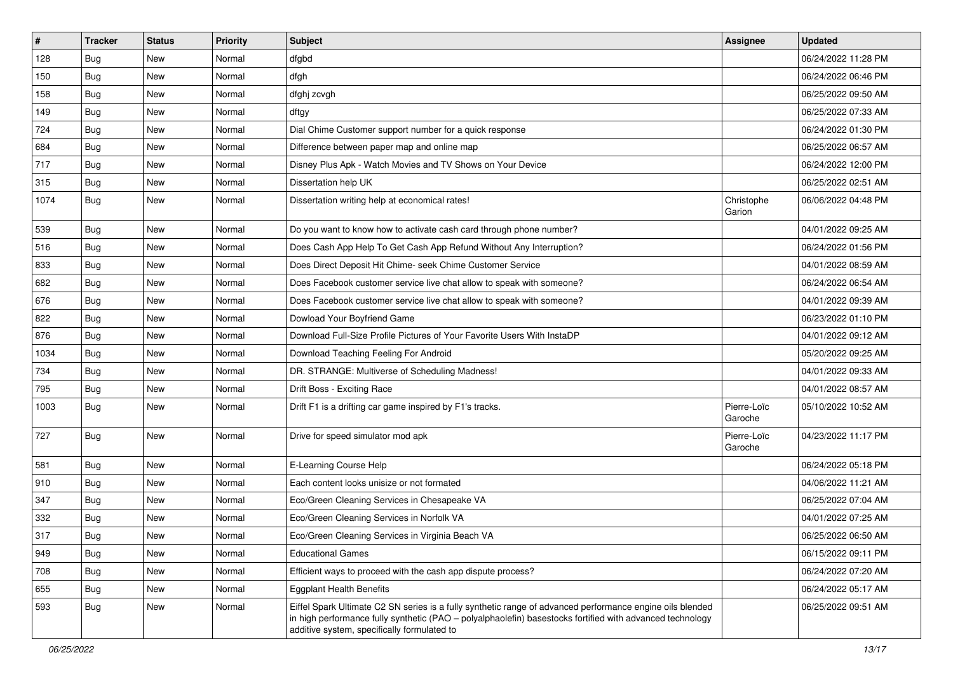| $\pmb{\#}$ | <b>Tracker</b>   | <b>Status</b> | <b>Priority</b> | <b>Subject</b>                                                                                                                                                                                                                                                        | Assignee               | <b>Updated</b>      |
|------------|------------------|---------------|-----------------|-----------------------------------------------------------------------------------------------------------------------------------------------------------------------------------------------------------------------------------------------------------------------|------------------------|---------------------|
| 128        | Bug              | New           | Normal          | dfgbd                                                                                                                                                                                                                                                                 |                        | 06/24/2022 11:28 PM |
| 150        | Bug              | New           | Normal          | dfgh                                                                                                                                                                                                                                                                  |                        | 06/24/2022 06:46 PM |
| 158        | <b>Bug</b>       | New           | Normal          | dfghj zcvgh                                                                                                                                                                                                                                                           |                        | 06/25/2022 09:50 AM |
| 149        | Bug              | New           | Normal          | dftgy                                                                                                                                                                                                                                                                 |                        | 06/25/2022 07:33 AM |
| 724        | Bug              | New           | Normal          | Dial Chime Customer support number for a quick response                                                                                                                                                                                                               |                        | 06/24/2022 01:30 PM |
| 684        | Bug              | New           | Normal          | Difference between paper map and online map                                                                                                                                                                                                                           |                        | 06/25/2022 06:57 AM |
| 717        | Bug              | New           | Normal          | Disney Plus Apk - Watch Movies and TV Shows on Your Device                                                                                                                                                                                                            |                        | 06/24/2022 12:00 PM |
| 315        | <b>Bug</b>       | New           | Normal          | Dissertation help UK                                                                                                                                                                                                                                                  |                        | 06/25/2022 02:51 AM |
| 1074       | Bug              | New           | Normal          | Dissertation writing help at economical rates!                                                                                                                                                                                                                        | Christophe<br>Garion   | 06/06/2022 04:48 PM |
| 539        | Bug              | New           | Normal          | Do you want to know how to activate cash card through phone number?                                                                                                                                                                                                   |                        | 04/01/2022 09:25 AM |
| 516        | Bug              | New           | Normal          | Does Cash App Help To Get Cash App Refund Without Any Interruption?                                                                                                                                                                                                   |                        | 06/24/2022 01:56 PM |
| 833        | Bug              | New           | Normal          | Does Direct Deposit Hit Chime- seek Chime Customer Service                                                                                                                                                                                                            |                        | 04/01/2022 08:59 AM |
| 682        | Bug              | New           | Normal          | Does Facebook customer service live chat allow to speak with someone?                                                                                                                                                                                                 |                        | 06/24/2022 06:54 AM |
| 676        | Bug              | New           | Normal          | Does Facebook customer service live chat allow to speak with someone?                                                                                                                                                                                                 |                        | 04/01/2022 09:39 AM |
| 822        | Bug              | New           | Normal          | Dowload Your Boyfriend Game                                                                                                                                                                                                                                           |                        | 06/23/2022 01:10 PM |
| 876        | <b>Bug</b>       | New           | Normal          | Download Full-Size Profile Pictures of Your Favorite Users With InstaDP                                                                                                                                                                                               |                        | 04/01/2022 09:12 AM |
| 1034       | Bug              | New           | Normal          | Download Teaching Feeling For Android                                                                                                                                                                                                                                 |                        | 05/20/2022 09:25 AM |
| 734        | Bug              | New           | Normal          | DR. STRANGE: Multiverse of Scheduling Madness!                                                                                                                                                                                                                        |                        | 04/01/2022 09:33 AM |
| 795        | Bug              | New           | Normal          | Drift Boss - Exciting Race                                                                                                                                                                                                                                            |                        | 04/01/2022 08:57 AM |
| 1003       | Bug              | New           | Normal          | Drift F1 is a drifting car game inspired by F1's tracks.                                                                                                                                                                                                              | Pierre-Loïc<br>Garoche | 05/10/2022 10:52 AM |
| 727        | Bug              | New           | Normal          | Drive for speed simulator mod apk                                                                                                                                                                                                                                     | Pierre-Loïc<br>Garoche | 04/23/2022 11:17 PM |
| 581        | Bug              | New           | Normal          | E-Learning Course Help                                                                                                                                                                                                                                                |                        | 06/24/2022 05:18 PM |
| 910        | Bug              | New           | Normal          | Each content looks unisize or not formated                                                                                                                                                                                                                            |                        | 04/06/2022 11:21 AM |
| 347        | Bug              | New           | Normal          | Eco/Green Cleaning Services in Chesapeake VA                                                                                                                                                                                                                          |                        | 06/25/2022 07:04 AM |
| 332        | <b>Bug</b>       | New           | Normal          | Eco/Green Cleaning Services in Norfolk VA                                                                                                                                                                                                                             |                        | 04/01/2022 07:25 AM |
| 317        | <sub>i</sub> Bug | New           | Normal          | Eco/Green Cleaning Services in Virginia Beach VA                                                                                                                                                                                                                      |                        | 06/25/2022 06:50 AM |
| 949        | <b>Bug</b>       | New           | Normal          | <b>Educational Games</b>                                                                                                                                                                                                                                              |                        | 06/15/2022 09:11 PM |
| 708        | Bug              | New           | Normal          | Efficient ways to proceed with the cash app dispute process?                                                                                                                                                                                                          |                        | 06/24/2022 07:20 AM |
| 655        | Bug              | New           | Normal          | <b>Eggplant Health Benefits</b>                                                                                                                                                                                                                                       |                        | 06/24/2022 05:17 AM |
| 593        | Bug              | New           | Normal          | Eiffel Spark Ultimate C2 SN series is a fully synthetic range of advanced performance engine oils blended<br>in high performance fully synthetic (PAO - polyalphaolefin) basestocks fortified with advanced technology<br>additive system, specifically formulated to |                        | 06/25/2022 09:51 AM |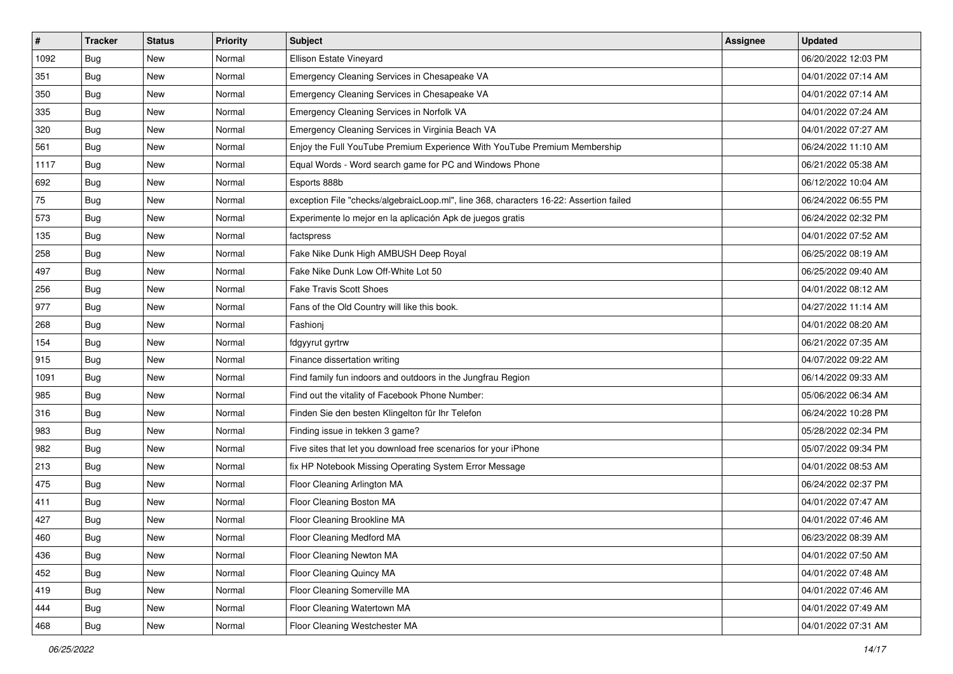| $\vert$ # | <b>Tracker</b> | <b>Status</b> | <b>Priority</b> | <b>Subject</b>                                                                         | <b>Assignee</b> | <b>Updated</b>      |
|-----------|----------------|---------------|-----------------|----------------------------------------------------------------------------------------|-----------------|---------------------|
| 1092      | <b>Bug</b>     | New           | Normal          | Ellison Estate Vineyard                                                                |                 | 06/20/2022 12:03 PM |
| 351       | <b>Bug</b>     | New           | Normal          | Emergency Cleaning Services in Chesapeake VA                                           |                 | 04/01/2022 07:14 AM |
| 350       | <b>Bug</b>     | New           | Normal          | Emergency Cleaning Services in Chesapeake VA                                           |                 | 04/01/2022 07:14 AM |
| 335       | <b>Bug</b>     | New           | Normal          | Emergency Cleaning Services in Norfolk VA                                              |                 | 04/01/2022 07:24 AM |
| 320       | <b>Bug</b>     | New           | Normal          | Emergency Cleaning Services in Virginia Beach VA                                       |                 | 04/01/2022 07:27 AM |
| 561       | Bug            | New           | Normal          | Enjoy the Full YouTube Premium Experience With YouTube Premium Membership              |                 | 06/24/2022 11:10 AM |
| 1117      | <b>Bug</b>     | New           | Normal          | Equal Words - Word search game for PC and Windows Phone                                |                 | 06/21/2022 05:38 AM |
| 692       | Bug            | New           | Normal          | Esports 888b                                                                           |                 | 06/12/2022 10:04 AM |
| 75        | Bug            | New           | Normal          | exception File "checks/algebraicLoop.ml", line 368, characters 16-22: Assertion failed |                 | 06/24/2022 06:55 PM |
| 573       | Bug            | New           | Normal          | Experimente lo mejor en la aplicación Apk de juegos gratis                             |                 | 06/24/2022 02:32 PM |
| 135       | <b>Bug</b>     | New           | Normal          | factspress                                                                             |                 | 04/01/2022 07:52 AM |
| 258       | Bug            | New           | Normal          | Fake Nike Dunk High AMBUSH Deep Royal                                                  |                 | 06/25/2022 08:19 AM |
| 497       | <b>Bug</b>     | New           | Normal          | Fake Nike Dunk Low Off-White Lot 50                                                    |                 | 06/25/2022 09:40 AM |
| 256       | Bug            | New           | Normal          | Fake Travis Scott Shoes                                                                |                 | 04/01/2022 08:12 AM |
| 977       | <b>Bug</b>     | New           | Normal          | Fans of the Old Country will like this book.                                           |                 | 04/27/2022 11:14 AM |
| 268       | <b>Bug</b>     | New           | Normal          | Fashioni                                                                               |                 | 04/01/2022 08:20 AM |
| 154       | <b>Bug</b>     | New           | Normal          | fdgyyrut gyrtrw                                                                        |                 | 06/21/2022 07:35 AM |
| 915       | Bug            | New           | Normal          | Finance dissertation writing                                                           |                 | 04/07/2022 09:22 AM |
| 1091      | Bug            | New           | Normal          | Find family fun indoors and outdoors in the Jungfrau Region                            |                 | 06/14/2022 09:33 AM |
| 985       | <b>Bug</b>     | New           | Normal          | Find out the vitality of Facebook Phone Number:                                        |                 | 05/06/2022 06:34 AM |
| 316       | Bug            | New           | Normal          | Finden Sie den besten Klingelton für Ihr Telefon                                       |                 | 06/24/2022 10:28 PM |
| 983       | <b>Bug</b>     | New           | Normal          | Finding issue in tekken 3 game?                                                        |                 | 05/28/2022 02:34 PM |
| 982       | <b>Bug</b>     | New           | Normal          | Five sites that let you download free scenarios for your iPhone                        |                 | 05/07/2022 09:34 PM |
| 213       | <b>Bug</b>     | New           | Normal          | fix HP Notebook Missing Operating System Error Message                                 |                 | 04/01/2022 08:53 AM |
| 475       | Bug            | New           | Normal          | Floor Cleaning Arlington MA                                                            |                 | 06/24/2022 02:37 PM |
| 411       | <b>Bug</b>     | New           | Normal          | Floor Cleaning Boston MA                                                               |                 | 04/01/2022 07:47 AM |
| 427       | Bug            | New           | Normal          | Floor Cleaning Brookline MA                                                            |                 | 04/01/2022 07:46 AM |
| 460       | Bug            | New           | Normal          | Floor Cleaning Medford MA                                                              |                 | 06/23/2022 08:39 AM |
| 436       | Bug            | New           | Normal          | Floor Cleaning Newton MA                                                               |                 | 04/01/2022 07:50 AM |
| 452       | Bug            | New           | Normal          | Floor Cleaning Quincy MA                                                               |                 | 04/01/2022 07:48 AM |
| 419       | Bug            | New           | Normal          | Floor Cleaning Somerville MA                                                           |                 | 04/01/2022 07:46 AM |
| 444       | <b>Bug</b>     | New           | Normal          | Floor Cleaning Watertown MA                                                            |                 | 04/01/2022 07:49 AM |
| 468       | <b>Bug</b>     | New           | Normal          | Floor Cleaning Westchester MA                                                          |                 | 04/01/2022 07:31 AM |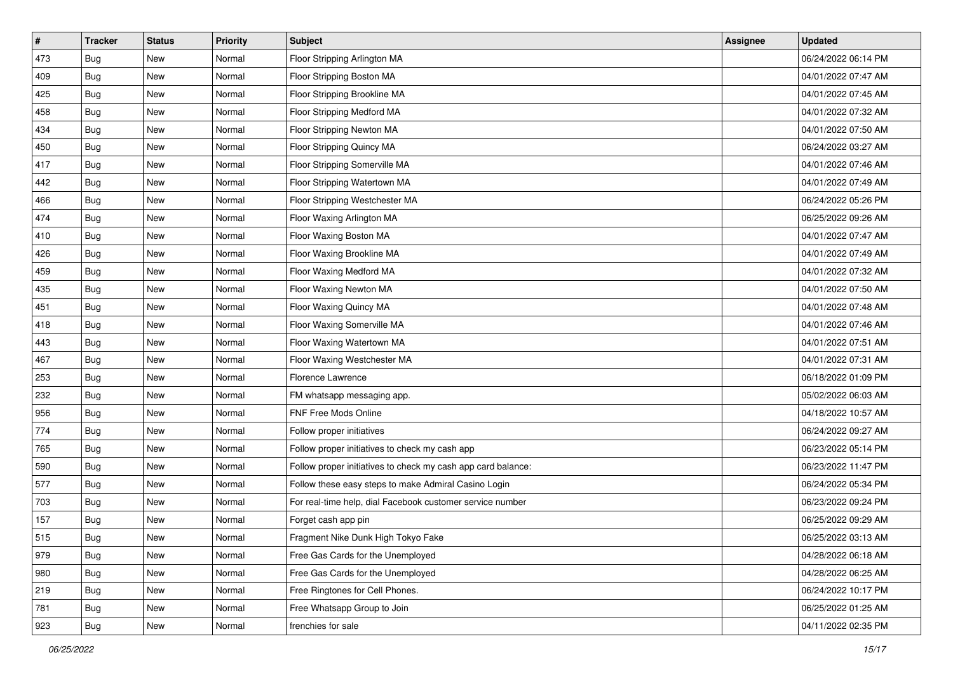| $\vert$ # | <b>Tracker</b> | <b>Status</b> | <b>Priority</b> | <b>Subject</b>                                               | <b>Assignee</b> | <b>Updated</b>      |
|-----------|----------------|---------------|-----------------|--------------------------------------------------------------|-----------------|---------------------|
| 473       | <b>Bug</b>     | New           | Normal          | Floor Stripping Arlington MA                                 |                 | 06/24/2022 06:14 PM |
| 409       | <b>Bug</b>     | New           | Normal          | Floor Stripping Boston MA                                    |                 | 04/01/2022 07:47 AM |
| 425       | <b>Bug</b>     | New           | Normal          | Floor Stripping Brookline MA                                 |                 | 04/01/2022 07:45 AM |
| 458       | <b>Bug</b>     | New           | Normal          | Floor Stripping Medford MA                                   |                 | 04/01/2022 07:32 AM |
| 434       | Bug            | New           | Normal          | Floor Stripping Newton MA                                    |                 | 04/01/2022 07:50 AM |
| 450       | <b>Bug</b>     | New           | Normal          | Floor Stripping Quincy MA                                    |                 | 06/24/2022 03:27 AM |
| 417       | <b>Bug</b>     | New           | Normal          | Floor Stripping Somerville MA                                |                 | 04/01/2022 07:46 AM |
| 442       | Bug            | New           | Normal          | Floor Stripping Watertown MA                                 |                 | 04/01/2022 07:49 AM |
| 466       | <b>Bug</b>     | New           | Normal          | Floor Stripping Westchester MA                               |                 | 06/24/2022 05:26 PM |
| 474       | Bug            | New           | Normal          | Floor Waxing Arlington MA                                    |                 | 06/25/2022 09:26 AM |
| 410       | <b>Bug</b>     | New           | Normal          | Floor Waxing Boston MA                                       |                 | 04/01/2022 07:47 AM |
| 426       | Bug            | New           | Normal          | Floor Waxing Brookline MA                                    |                 | 04/01/2022 07:49 AM |
| 459       | Bug            | New           | Normal          | Floor Waxing Medford MA                                      |                 | 04/01/2022 07:32 AM |
| 435       | <b>Bug</b>     | New           | Normal          | Floor Waxing Newton MA                                       |                 | 04/01/2022 07:50 AM |
| 451       | Bug            | New           | Normal          | Floor Waxing Quincy MA                                       |                 | 04/01/2022 07:48 AM |
| 418       | Bug            | New           | Normal          | Floor Waxing Somerville MA                                   |                 | 04/01/2022 07:46 AM |
| 443       | <b>Bug</b>     | New           | Normal          | Floor Waxing Watertown MA                                    |                 | 04/01/2022 07:51 AM |
| 467       | <b>Bug</b>     | New           | Normal          | Floor Waxing Westchester MA                                  |                 | 04/01/2022 07:31 AM |
| 253       | <b>Bug</b>     | New           | Normal          | Florence Lawrence                                            |                 | 06/18/2022 01:09 PM |
| 232       | <b>Bug</b>     | New           | Normal          | FM whatsapp messaging app.                                   |                 | 05/02/2022 06:03 AM |
| 956       | <b>Bug</b>     | New           | Normal          | FNF Free Mods Online                                         |                 | 04/18/2022 10:57 AM |
| 774       | <b>Bug</b>     | New           | Normal          | Follow proper initiatives                                    |                 | 06/24/2022 09:27 AM |
| 765       | Bug            | New           | Normal          | Follow proper initiatives to check my cash app               |                 | 06/23/2022 05:14 PM |
| 590       | <b>Bug</b>     | New           | Normal          | Follow proper initiatives to check my cash app card balance: |                 | 06/23/2022 11:47 PM |
| 577       | <b>Bug</b>     | New           | Normal          | Follow these easy steps to make Admiral Casino Login         |                 | 06/24/2022 05:34 PM |
| 703       | Bug            | New           | Normal          | For real-time help, dial Facebook customer service number    |                 | 06/23/2022 09:24 PM |
| 157       | <b>Bug</b>     | New           | Normal          | Forget cash app pin                                          |                 | 06/25/2022 09:29 AM |
| 515       | I Bug          | New           | Normal          | Fragment Nike Dunk High Tokyo Fake                           |                 | 06/25/2022 03:13 AM |
| 979       | Bug            | New           | Normal          | Free Gas Cards for the Unemployed                            |                 | 04/28/2022 06:18 AM |
| 980       | Bug            | New           | Normal          | Free Gas Cards for the Unemployed                            |                 | 04/28/2022 06:25 AM |
| 219       | Bug            | New           | Normal          | Free Ringtones for Cell Phones.                              |                 | 06/24/2022 10:17 PM |
| 781       | <b>Bug</b>     | New           | Normal          | Free Whatsapp Group to Join                                  |                 | 06/25/2022 01:25 AM |
| 923       | Bug            | New           | Normal          | frenchies for sale                                           |                 | 04/11/2022 02:35 PM |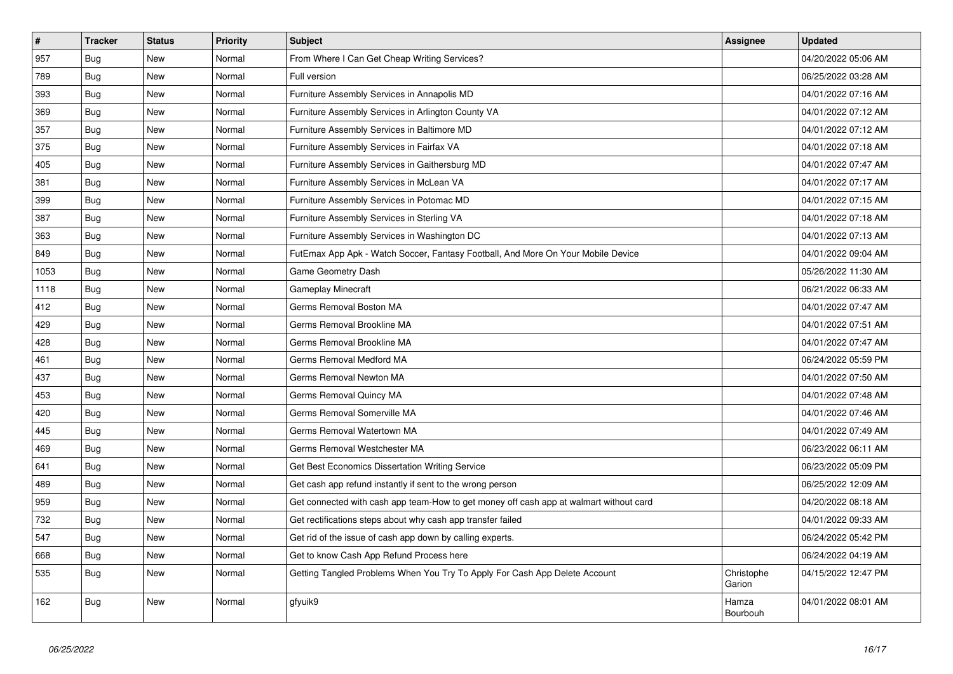| $\pmb{\sharp}$ | <b>Tracker</b> | <b>Status</b> | <b>Priority</b> | <b>Subject</b>                                                                         | Assignee             | <b>Updated</b>      |
|----------------|----------------|---------------|-----------------|----------------------------------------------------------------------------------------|----------------------|---------------------|
| 957            | Bug            | New           | Normal          | From Where I Can Get Cheap Writing Services?                                           |                      | 04/20/2022 05:06 AM |
| 789            | <b>Bug</b>     | New           | Normal          | Full version                                                                           |                      | 06/25/2022 03:28 AM |
| 393            | Bug            | New           | Normal          | Furniture Assembly Services in Annapolis MD                                            |                      | 04/01/2022 07:16 AM |
| 369            | Bug            | New           | Normal          | Furniture Assembly Services in Arlington County VA                                     |                      | 04/01/2022 07:12 AM |
| 357            | Bug            | New           | Normal          | Furniture Assembly Services in Baltimore MD                                            |                      | 04/01/2022 07:12 AM |
| 375            | <b>Bug</b>     | New           | Normal          | Furniture Assembly Services in Fairfax VA                                              |                      | 04/01/2022 07:18 AM |
| 405            | Bug            | New           | Normal          | Furniture Assembly Services in Gaithersburg MD                                         |                      | 04/01/2022 07:47 AM |
| 381            | Bug            | New           | Normal          | Furniture Assembly Services in McLean VA                                               |                      | 04/01/2022 07:17 AM |
| 399            | Bug            | New           | Normal          | Furniture Assembly Services in Potomac MD                                              |                      | 04/01/2022 07:15 AM |
| 387            | Bug            | New           | Normal          | Furniture Assembly Services in Sterling VA                                             |                      | 04/01/2022 07:18 AM |
| 363            | Bug            | New           | Normal          | Furniture Assembly Services in Washington DC                                           |                      | 04/01/2022 07:13 AM |
| 849            | <b>Bug</b>     | New           | Normal          | FutEmax App Apk - Watch Soccer, Fantasy Football, And More On Your Mobile Device       |                      | 04/01/2022 09:04 AM |
| 1053           | <b>Bug</b>     | New           | Normal          | Game Geometry Dash                                                                     |                      | 05/26/2022 11:30 AM |
| 1118           | Bug            | New           | Normal          | Gameplay Minecraft                                                                     |                      | 06/21/2022 06:33 AM |
| 412            | Bug            | New           | Normal          | Germs Removal Boston MA                                                                |                      | 04/01/2022 07:47 AM |
| 429            | Bug            | New           | Normal          | Germs Removal Brookline MA                                                             |                      | 04/01/2022 07:51 AM |
| 428            | <b>Bug</b>     | New           | Normal          | Germs Removal Brookline MA                                                             |                      | 04/01/2022 07:47 AM |
| 461            | Bug            | New           | Normal          | Germs Removal Medford MA                                                               |                      | 06/24/2022 05:59 PM |
| 437            | Bug            | New           | Normal          | Germs Removal Newton MA                                                                |                      | 04/01/2022 07:50 AM |
| 453            | Bug            | New           | Normal          | Germs Removal Quincy MA                                                                |                      | 04/01/2022 07:48 AM |
| 420            | <b>Bug</b>     | New           | Normal          | Germs Removal Somerville MA                                                            |                      | 04/01/2022 07:46 AM |
| 445            | <b>Bug</b>     | New           | Normal          | Germs Removal Watertown MA                                                             |                      | 04/01/2022 07:49 AM |
| 469            | Bug            | New           | Normal          | Germs Removal Westchester MA                                                           |                      | 06/23/2022 06:11 AM |
| 641            | Bug            | New           | Normal          | Get Best Economics Dissertation Writing Service                                        |                      | 06/23/2022 05:09 PM |
| 489            | Bug            | New           | Normal          | Get cash app refund instantly if sent to the wrong person                              |                      | 06/25/2022 12:09 AM |
| 959            | <b>Bug</b>     | New           | Normal          | Get connected with cash app team-How to get money off cash app at walmart without card |                      | 04/20/2022 08:18 AM |
| 732            | Bug            | New           | Normal          | Get rectifications steps about why cash app transfer failed                            |                      | 04/01/2022 09:33 AM |
| 547            | Bug            | New           | Normal          | Get rid of the issue of cash app down by calling experts.                              |                      | 06/24/2022 05:42 PM |
| 668            | Bug            | New           | Normal          | Get to know Cash App Refund Process here                                               |                      | 06/24/2022 04:19 AM |
| 535            | <b>Bug</b>     | New           | Normal          | Getting Tangled Problems When You Try To Apply For Cash App Delete Account             | Christophe<br>Garion | 04/15/2022 12:47 PM |
| 162            | Bug            | New           | Normal          | gfyuik9                                                                                | Hamza<br>Bourbouh    | 04/01/2022 08:01 AM |